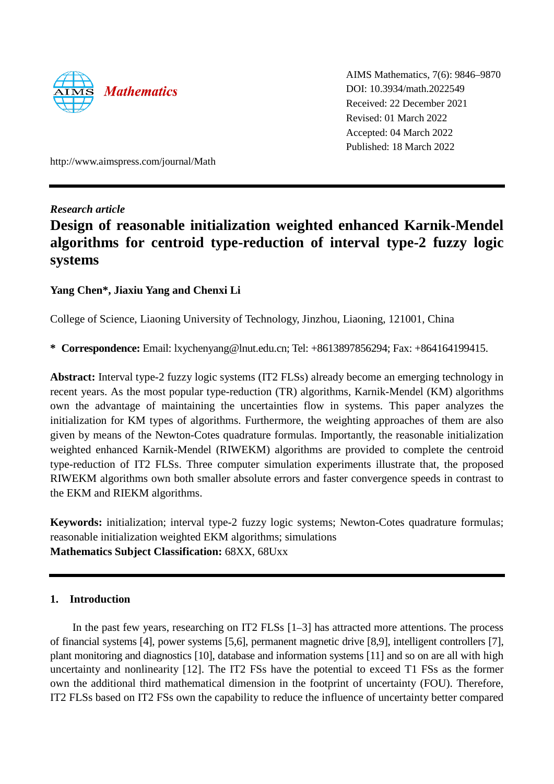

AIMS Mathematics, 7(6): 9846–9870 DOI: 10.3934/math.2022549 Received: 22 December 2021 Revised: 01 March 2022 Accepted: 04 March 2022 Published: 18 March 2022

http://www.aimspress.com/journal/Math

# *Research article*

# **Design of reasonable initialization weighted enhanced Karnik-Mendel algorithms for centroid type-reduction of interval type-2 fuzzy logic systems**

# **Yang Chen\*, Jiaxiu Yang and Chenxi Li**

College of Science, Liaoning University of Technology, Jinzhou, Liaoning, 121001, China

**\* Correspondence:** Email: lxychenyang@lnut.edu.cn; Tel: +8613897856294; Fax: +864164199415.

**Abstract:** Interval type-2 fuzzy logic systems (IT2 FLSs) already become an emerging technology in recent years. As the most popular type-reduction (TR) algorithms, Karnik-Mendel (KM) algorithms own the advantage of maintaining the uncertainties flow in systems. This paper analyzes the initialization for KM types of algorithms. Furthermore, the weighting approaches of them are also given by means of the Newton-Cotes quadrature formulas. Importantly, the reasonable initialization weighted enhanced Karnik-Mendel (RIWEKM) algorithms are provided to complete the centroid type-reduction of IT2 FLSs. Three computer simulation experiments illustrate that, the proposed RIWEKM algorithms own both smaller absolute errors and faster convergence speeds in contrast to the EKM and RIEKM algorithms.

**Keywords:** initialization; interval type-2 fuzzy logic systems; Newton-Cotes quadrature formulas; reasonable initialization weighted EKM algorithms; simulations **Mathematics Subject Classification:** 68XX, 68Uxx

# **1. Introduction**

In the past few years, researching on IT2 FLSs [1–3] has attracted more attentions. The process of financial systems [4], power systems [5,6], permanent magnetic drive [8,9], intelligent controllers [7], plant monitoring and diagnostics [10], database and information systems [11] and so on are all with high uncertainty and nonlinearity [12]. The IT2 FSs have the potential to exceed T1 FSs as the former own the additional third mathematical dimension in the footprint of uncertainty (FOU). Therefore, IT2 FLSs based on IT2 FSs own the capability to reduce the influence of uncertainty better compared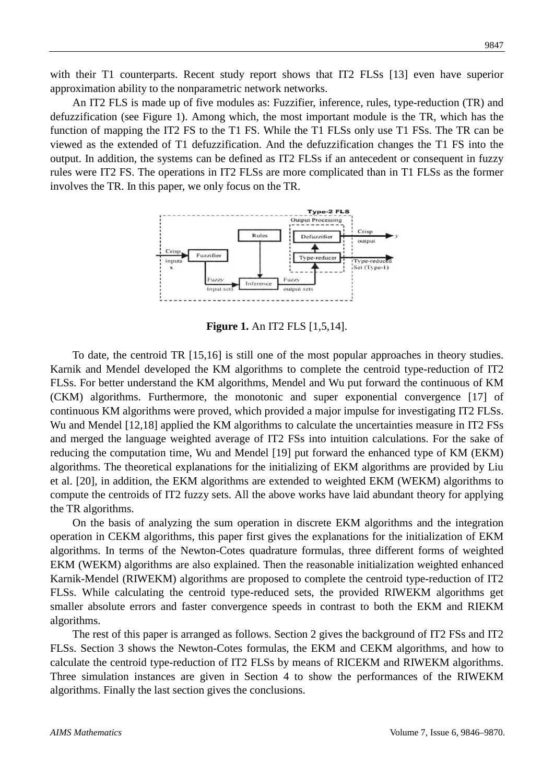with their T1 counterparts. Recent study report shows that IT2 FLSs [13] even have superior approximation ability to the nonparametric network networks.

An IT2 FLS is made up of five modules as: Fuzzifier, inference, rules, type-reduction (TR) and defuzzification (see Figure 1). Among which, the most important module is the TR, which has the function of mapping the IT2 FS to the T1 FS. While the T1 FLSs only use T1 FSs. The TR can be viewed as the extended of T1 defuzzification. And the defuzzification changes the T1 FS into the output. In addition, the systems can be defined as IT2 FLSs if an antecedent or consequent in fuzzy rules were IT2 FS. The operations in IT2 FLSs are more complicated than in T1 FLSs as the former involves the TR. In this paper, we only focus on the TR.



**Figure 1.** An IT2 FLS [1,5,14].

To date, the centroid TR [15,16] is still one of the most popular approaches in theory studies. Karnik and Mendel developed the KM algorithms to complete the centroid type-reduction of IT2 FLSs. For better understand the KM algorithms, Mendel and Wu put forward the continuous of KM (CKM) algorithms. Furthermore, the monotonic and super exponential convergence [17] of continuous KM algorithms were proved, which provided a major impulse for investigating IT2 FLSs. Wu and Mendel [12,18] applied the KM algorithms to calculate the uncertainties measure in IT2 FSs and merged the language weighted average of IT2 FSs into intuition calculations. For the sake of reducing the computation time, Wu and Mendel [19] put forward the enhanced type of KM (EKM) algorithms. The theoretical explanations for the initializing of EKM algorithms are provided by Liu et al. [20], in addition, the EKM algorithms are extended to weighted EKM (WEKM) algorithms to compute the centroids of IT2 fuzzy sets. All the above works have laid abundant theory for applying the TR algorithms.

On the basis of analyzing the sum operation in discrete EKM algorithms and the integration operation in CEKM algorithms, this paper first gives the explanations for the initialization of EKM algorithms. In terms of the Newton-Cotes quadrature formulas, three different forms of weighted EKM (WEKM) algorithms are also explained. Then the reasonable initialization weighted enhanced Karnik-Mendel (RIWEKM) algorithms are proposed to complete the centroid type-reduction of IT2 FLSs. While calculating the centroid type-reduced sets, the provided RIWEKM algorithms get smaller absolute errors and faster convergence speeds in contrast to both the EKM and RIEKM algorithms.

The rest of this paper is arranged as follows. Section 2 gives the background of IT2 FSs and IT2 FLSs. Section 3 shows the Newton-Cotes formulas, the EKM and CEKM algorithms, and how to calculate the centroid type-reduction of IT2 FLSs by means of RICEKM and RIWEKM algorithms. Three simulation instances are given in Section 4 to show the performances of the RIWEKM algorithms. Finally the last section gives the conclusions.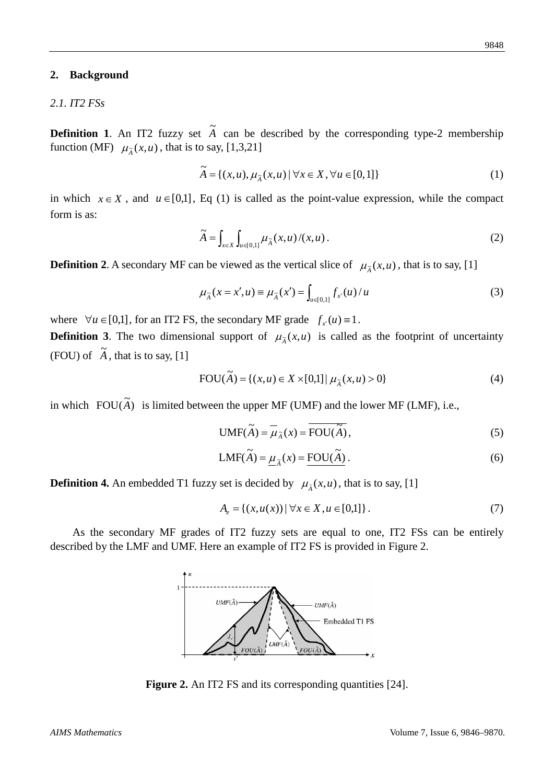### **2. Background**

# *2.1. IT2 FSs*

**Definition 1.** An IT2 fuzzy set  $\tilde{A}$  can be described by the corresponding type-2 membership function (MF)  $\mu_{\tilde{A}}(x, u)$ , that is to say, [1,3,21]

$$
\widetilde{A} = \{(x, u), \mu_{\widetilde{A}}(x, u) \mid \forall x \in X, \forall u \in [0, 1]\}
$$
\n
$$
(1)
$$

in which  $x \in X$ , and  $u \in [0,1]$ , Eq (1) is called as the point-value expression, while the compact form is as:

$$
\widetilde{A} = \int_{x \in X} \int_{u \in [0,1]} \mu_{\widetilde{A}}(x, u) / (x, u) . \tag{2}
$$

**Definition 2**. A secondary MF can be viewed as the vertical slice of  $\mu_{\tilde{A}}(x, u)$ , that is to say, [1]

$$
\mu_{\tilde{A}}(x = x', u) \equiv \mu_{\tilde{A}}(x') = \int_{u \in [0, 1]} f_{x'}(u) / u
$$
\n(3)

where  $\forall u \in [0,1]$ , for an IT2 FS, the secondary MF grade  $f_{x}(u) \equiv 1$ .

**Definition 3.** The two dimensional support of  $\mu_{\tilde{A}}(x, u)$  is called as the footprint of uncertainty (FOU) of  $\tilde{A}$ , that is to say, [1]

FOU(
$$
\tilde{A}
$$
) = { $(x, u) \in X \times [0,1] | \mu_{\tilde{A}}(x, u) > 0$ } (4)

in which  $FOU(\tilde{A})$  is limited between the upper MF (UMF) and the lower MF (LMF), i.e.,

$$
UMF(\widetilde{A}) = \overline{\mu}_{\widetilde{A}}(x) = \overline{FOU(\widetilde{A})},
$$
\n(5)

$$
LMF(\widetilde{A}) = \underline{\mu}_{\widetilde{A}}(x) = \underline{FOU(\widetilde{A})}.
$$
 (6)

**Definition 4.** An embedded T1 fuzzy set is decided by  $\mu_{\tilde{A}}(x, u)$ , that is to say, [1]

$$
A_e = \{(x, u(x)) \mid \forall x \in X, u \in [0,1]\}.
$$
 (7)

As the secondary MF grades of IT2 fuzzy sets are equal to one, IT2 FSs can be entirely described by the LMF and UMF. Here an example of IT2 FS is provided in Figure 2.



**Figure 2.** An IT2 FS and its corresponding quantities [24].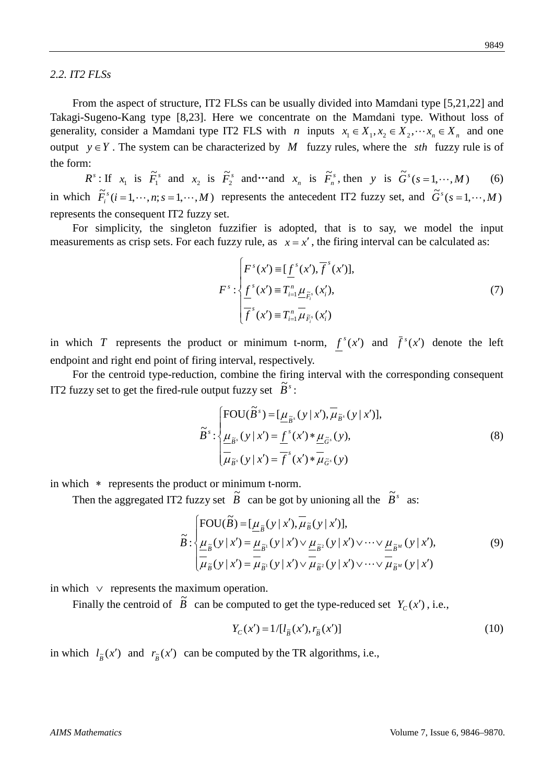### *2.2. IT2 FLSs*

From the aspect of structure, IT2 FLSs can be usually divided into Mamdani type [5,21,22] and Takagi-Sugeno-Kang type [8,23]. Here we concentrate on the Mamdani type. Without loss of generality, consider a Mamdani type IT2 FLS with *n* inputs  $x_1 \in X_1, x_2 \in X_2, \dots, x_n \in X_n$  and one output  $y \in Y$ . The system can be characterized by *M* fuzzy rules, where the *sth* fuzzy rule is of the form:

 $R^s$ : If  $x_1$  is  $\tilde{F}_1^s$  and  $x_2$  is  $\tilde{F}_2^s$  and and  $x_n$  is  $\tilde{F}_n^s$ , then *y* is  $\tilde{G}^s(s=1,\dots,M)$  (6) in which  $\tilde{F}_i^s$  (*i* = 1,  $\cdots$  , *n*; *s* = 1,  $\cdots$  , *M*) represents the antecedent IT2 fuzzy set, and  $\tilde{G}^s$  (*s* = 1,  $\cdots$  , *M*) represents the consequent IT2 fuzzy set.

For simplicity, the singleton fuzzifier is adopted, that is to say, we model the input measurements as crisp sets. For each fuzzy rule, as  $x = x'$ , the firing interval can be calculated as:

$$
F^{s}: \begin{cases} F^{s}(x') \equiv [\underline{f}^{s}(x'), \overline{f}^{s}(x')], \\ \underline{f}^{s}(x') \equiv T_{i=1}^{n} \underline{\mu}_{\tilde{F}_{i}^{s}}(x'_{i}), \\ \overline{f}^{s}(x') \equiv T_{i=1}^{n} \overline{\mu}_{\tilde{F}_{i}^{s}}(x'_{i}) \end{cases}
$$
(7)

in which *T* represents the product or minimum t-norm,  $f^{s}(x')$  and  $\bar{f}^{s}(x')$  denote the left endpoint and right end point of firing interval, respectively.

For the centroid type-reduction, combine the firing interval with the corresponding consequent IT2 fuzzy set to get the fired-rule output fuzzy set  $\tilde{B}^s$ :

$$
\widetilde{B}^{s} : \begin{cases}\n\text{FOU}(\widetilde{B}^{s}) = [\underline{\mu}_{\widetilde{B}^{s}}(y \mid x'), \overline{\mu}_{\widetilde{B}^{s}}(y \mid x')], \\
\underline{\mu}_{\widetilde{B}^{s}}(y \mid x') = \underline{f}^{s}(x') * \underline{\mu}_{\widetilde{G}^{s}}(y), \\
\overline{\mu}_{\widetilde{B}^{s}}(y \mid x') = \overline{f}^{s}(x') * \overline{\mu}_{\widetilde{G}^{s}}(y)\n\end{cases}
$$
\n(8)

in which ∗ represents the product or minimum t-norm.

Then the aggregated IT2 fuzzy set  $\tilde{B}$  can be got by unioning all the  $\tilde{B}^s$  as:

$$
\widetilde{B} : \begin{cases}\n\text{FOU}(\widetilde{B}) = [\underline{\mu}_{\widetilde{B}}(y | x'), \overline{\mu}_{\widetilde{B}}(y | x')], \\
\underline{\mu}_{\widetilde{B}}(y | x') = \underline{\mu}_{\widetilde{B}^1}(y | x') \vee \underline{\mu}_{\widetilde{B}^2}(y | x') \vee \cdots \vee \underline{\mu}_{\widetilde{B}^M}(y | x'), \\
\overline{\mu}_{\widetilde{B}}(y | x') = \overline{\mu}_{\widetilde{B}^1}(y | x') \vee \overline{\mu}_{\widetilde{B}^2}(y | x') \vee \cdots \vee \overline{\mu}_{\widetilde{B}^M}(y | x')\n\end{cases} \tag{9}
$$

in which ∨ represents the maximum operation.

Finally the centroid of  $\tilde{B}$  can be computed to get the type-reduced set  $Y_c(x')$ , i.e.,

$$
Y_C(x') = 1/[l_{\tilde{B}}(x'), r_{\tilde{B}}(x')]
$$
\n(10)

in which  $l_{\tilde{B}}(x')$  and  $r_{\tilde{B}}(x')$  can be computed by the TR algorithms, i.e.,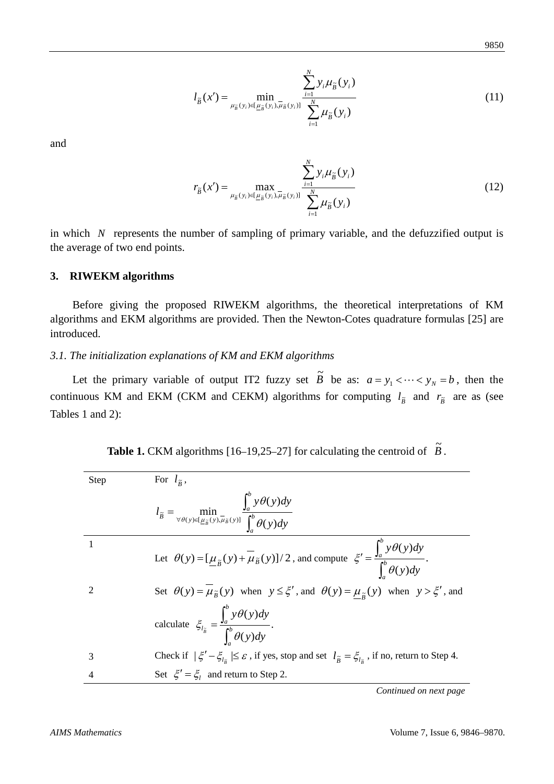$$
l_{\tilde{B}}(x') = \min_{\mu_{\tilde{B}}(y_i) \in [\underline{\mu}_{\tilde{B}}(y_i), \bar{\mu}_{\tilde{B}}(y_i)]} \frac{\sum_{i=1}^N y_i \mu_{\tilde{B}}(y_i)}{\sum_{i=1}^N \mu_{\tilde{B}}(y_i)}
$$
(11)

and

$$
r_{\tilde{B}}(x') = \max_{\mu_{\tilde{B}}(y_i) \in [\underline{\mu}_{\tilde{B}}(y_i), \overline{\mu}_{\tilde{B}}(y_i)]} \frac{\sum_{i=1}^N y_i \mu_{\tilde{B}}(y_i)}{\sum_{i=1}^N \mu_{\tilde{B}}(y_i)}
$$
(12)

in which *N* represents the number of sampling of primary variable, and the defuzzified output is the average of two end points.

# **3. RIWEKM algorithms**

Before giving the proposed RIWEKM algorithms, the theoretical interpretations of KM algorithms and EKM algorithms are provided. Then the Newton-Cotes quadrature formulas [25] are introduced.

### *3.1. The initialization explanations of KM and EKM algorithms*

Let the primary variable of output IT2 fuzzy set  $\tilde{B}$  be as:  $a = y_1 < \cdots < y_N = b$ , then the continuous KM and EKM (CKM and CEKM) algorithms for computing  $l_{\tilde{B}}$  and  $r_{\tilde{B}}$  are as (see Tables 1 and 2):

| Step | For $l_{\tilde{p}}$ ,                                                                                                                                                |
|------|----------------------------------------------------------------------------------------------------------------------------------------------------------------------|
|      | $l_{\tilde{B}} = \min_{\forall \theta(y) \in [\underline{\mu}_{\tilde{B}}(y), \overline{\mu}_{\tilde{B}}(y)]} \frac{\int_a^y y \theta(y) dy}{\int_b^b \theta(y) dy}$ |
| 1    | Let $\theta(y) = [\underline{\mu}_{\tilde{B}}(y) + \overline{\mu}_{\tilde{B}}(y)]/2$ , and compute $\xi' = \frac{\int_a^b y \theta(y) dy}{\int_a^b \theta(y) dy}$ .  |
|      |                                                                                                                                                                      |
| 2    | Set $\theta(y) = \mu_{\tilde{B}}(y)$ when $y \le \xi'$ , and $\theta(y) = \mu_{\tilde{B}}(y)$ when $y > \xi'$ , and                                                  |
|      | calculate $\zeta_{l_{\bar{B}}} = \frac{\int_a^b y \theta(y) dy}{\int_a^b \theta(y) dy}$ .                                                                            |
| 3    | Check if $ \xi' - \xi_{l_{\tilde{n}}} \leq \varepsilon$ , if yes, stop and set $l_{\tilde{\beta}} = \xi_{l_{\tilde{n}}}$ , if no, return to Step 4.                  |
| 4    | Set $\xi' = \xi_i$ and return to Step 2.                                                                                                                             |

| <b>Table 1.</b> CKM algorithms $[16-19,25-27]$ for calculating the centroid of $B$ . |  |
|--------------------------------------------------------------------------------------|--|
|                                                                                      |  |

*Continued on next page*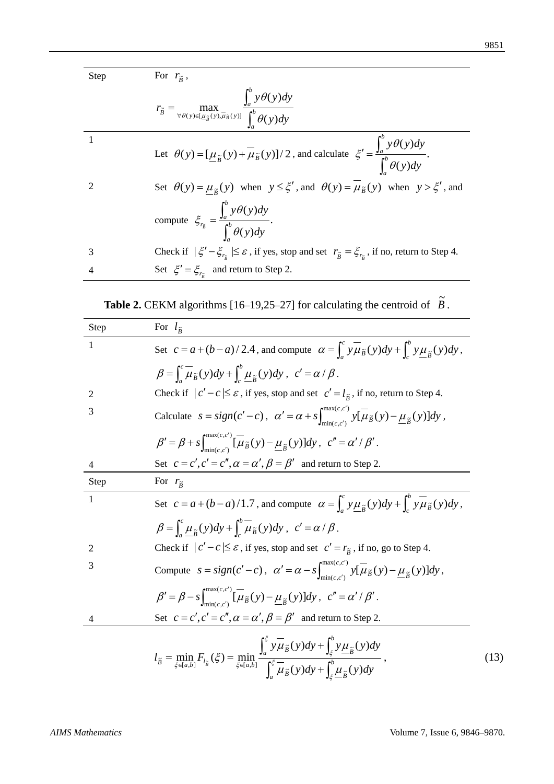Step For  $r_{\tilde{B}}$ ,

|   | $r_{\tilde{B}} = \max_{\forall \theta(y) \in [\underline{\mu}_{\tilde{B}}(y), \overline{\mu}_{\tilde{B}}(y)]} \frac{\int_a^b y \theta(y) dy}{\int_a^b \theta(y) dy}$  |
|---|-----------------------------------------------------------------------------------------------------------------------------------------------------------------------|
|   | Let $\theta(y) = [\underline{\mu}_{\tilde{B}}(y) + \overline{\mu}_{\tilde{B}}(y)]/2$ , and calculate $\xi' = \frac{\int_a^b y \theta(y) dy}{\int_a^b \theta(y) dy}$ . |
| 2 | Set $\theta(y) = \mu_{\tilde{p}}(y)$ when $y \le \xi'$ , and $\theta(y) = \mu_{\tilde{p}}(y)$ when $y > \xi'$ , and                                                   |
|   | compute $\zeta_{r_{\tilde{B}}} = \frac{\int_a^b y \theta(y) dy}{\int_a^b \theta(y) dy}$ .                                                                             |
| 3 | Check if $ \xi' - \xi_{r_{\tilde{n}}}   \leq \varepsilon$ , if yes, stop and set $r_{\tilde{\beta}} = \xi_{r_{\tilde{n}}}$ , if no, return to Step 4.                 |
| 4 | Set $\xi' = \xi_{r_{\overline{s}}}$ and return to Step 2.                                                                                                             |

| <b>Table 2.</b> CEKM algorithms $[16-19,25-27]$ for calculating the centroid of $B$ . | $\tilde{\phantom{a}}$ |
|---------------------------------------------------------------------------------------|-----------------------|
|                                                                                       |                       |

| Step           | For $l_{\tilde{R}}$                                                                                                                                                                                                                                                                    |
|----------------|----------------------------------------------------------------------------------------------------------------------------------------------------------------------------------------------------------------------------------------------------------------------------------------|
| 1              | Set $c = a + (b - a)/2.4$ , and compute $\alpha = \int_{a}^{c} y \overline{\mu}_{\tilde{B}}(y) dy + \int_{a}^{b} y \mu_{\tilde{B}}(y) dy$ ,                                                                                                                                            |
|                | $\beta = \int_{a}^{c} \overline{\mu}_{\tilde{B}}(y) dy + \int_{a}^{b} \mu_{\tilde{B}}(y) dy, \ c' = \alpha / \beta.$                                                                                                                                                                   |
| 2              | Check if $ c'-c  \leq \varepsilon$ , if yes, stop and set $c' = l_{\tilde{B}}$ , if no, return to Step 4.                                                                                                                                                                              |
| 3              | Calculate $s = sign(c'-c)$ , $\alpha' = \alpha + s \int_{min(c',c')}^{max(c,c')} y[\overline{\mu}_{\tilde{B}}(y) - \underline{\mu}_{\tilde{B}}(y)]dy$ ,                                                                                                                                |
|                | $\beta' = \beta + s \int_{\min(c,c')}^{\max(c,c')} [\overline{\mu}_{\tilde{B}}(y) - \underline{\mu}_{\tilde{B}}(y)]dy, c'' = \alpha'/\beta'.$                                                                                                                                          |
| 4              | Set $c = c', c' = c'', \alpha = \alpha', \beta = \beta'$ and return to Step 2.                                                                                                                                                                                                         |
| Step           | For $r_{\tilde{B}}$                                                                                                                                                                                                                                                                    |
| $\mathbf{1}$   | Set $c = a + (b - a)/1.7$ , and compute $\alpha = \int_a^c y \mu_{\tilde{B}}(y) dy + \int_a^b y \mu_{\tilde{B}}(y) dy$ ,                                                                                                                                                               |
|                | $\beta = \int_{a}^{c} \mu_{\tilde{B}}(y) dy + \int_{a}^{b} \mu_{\tilde{B}}(y) dy, \ c' = \alpha / \beta.$                                                                                                                                                                              |
| $\overline{2}$ | Check if $ c'-c  \leq \varepsilon$ , if yes, stop and set $c' = r_{\tilde{g}}$ , if no, go to Step 4.                                                                                                                                                                                  |
| 3              | Compute $s = sign(c'-c)$ , $\alpha' = \alpha - s \int_{min(c',c')}^{max(c,c')} y[\overline{\mu}_{\tilde{B}}(y) - \underline{\mu}_{\tilde{B}}(y)]dy$ ,                                                                                                                                  |
|                | $\beta' = \beta - s \int_{\min(c,c')}^{\max(c,c')} [\overline{\mu}_{\widetilde{B}}(y) - \underline{\mu}_{\widetilde{B}}(y)]dy, c'' = \alpha'/\beta'.$                                                                                                                                  |
| 4              | Set $c = c', c' = c'', \alpha = \alpha', \beta = \beta'$ and return to Step 2.                                                                                                                                                                                                         |
|                | $l_{\tilde{B}}=\min_{\xi\in[a,b]}F_{l_{\tilde{B}}}\left(\xi\right)=\min_{\xi\in[a,b]}\frac{\int_a^\xi y\overline{\mu}_{\tilde{B}}(y)dy+\int_\xi^b y\underline{\mu}_{\tilde{B}}(y)dy}{\int_a^\xi\overline{\mu}_{\tilde{B}}(y)dy+\int_\xi^b\underline{\mu}_{\tilde{B}}(y)dy}\,,$<br>(13) |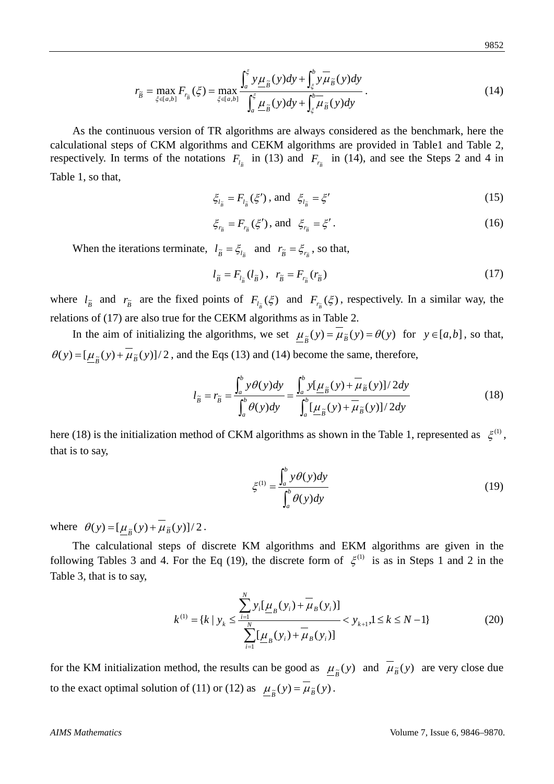$$
r_{\tilde{B}} = \max_{\xi \in [a,b]} F_{r_{\tilde{B}}}(\xi) = \max_{\xi \in [a,b]} \frac{\int_a^{\xi} y \mu_{\tilde{B}}(y) dy + \int_{\xi}^b y \mu_{\tilde{B}}(y) dy}{\int_a^{\xi} \mu_{\tilde{B}}(y) dy + \int_{\xi}^b \mu_{\tilde{B}}(y) dy}.
$$
(14)

As the continuous version of TR algorithms are always considered as the benchmark, here the calculational steps of CKM algorithms and CEKM algorithms are provided in Table1 and Table 2, respectively. In terms of the notations  $F_{l_{\tilde{B}}}$  in (13) and  $F_{r_{\tilde{B}}}$  in (14), and see the Steps 2 and 4 in Table 1, so that,

$$
\xi_{l_{\tilde{B}}} = F_{l_{\tilde{B}}}(\xi'), \text{ and } \xi_{l_{\tilde{B}}} = \xi'
$$
 (15)

$$
\xi_{r_{\tilde{B}}} = F_{r_{\tilde{B}}}(\xi'), \text{ and } \xi_{r_{\tilde{B}}} = \xi'.
$$
 (16)

When the iterations terminate,  $l_{\tilde{B}} = \xi_{l_{\tilde{B}}}$  and  $r_{\tilde{B}} = \xi_{r_{\tilde{B}}}$ , so that,

$$
l_{\tilde{B}} = F_{l_{\tilde{B}}}(l_{\tilde{B}}), \quad r_{\tilde{B}} = F_{r_{\tilde{B}}}(r_{\tilde{B}})
$$
\n(17)

where  $l_{\tilde{B}}$  and  $r_{\tilde{B}}$  are the fixed points of  $F_{l_{\tilde{B}}}(\xi)$  and  $F_{r_{\tilde{B}}}(\xi)$ , respectively. In a similar way, the relations of (17) are also true for the CEKM algorithms as in Table 2.

In the aim of initializing the algorithms, we set  $\mu_{\tilde{g}}(y) = \mu_{\tilde{g}}(y) = \theta(y)$  for  $y \in [a, b]$ , so that,  $\theta(y) = [\underline{\mu}_{\tilde{B}}(y) + \mu_{\tilde{B}}(y)]/2$ , and the Eqs (13) and (14) become the same, therefore,

$$
l_{\tilde{B}} = r_{\tilde{B}} = \frac{\int_a^b y \theta(y) dy}{\int_a^b \theta(y) dy} = \frac{\int_a^b y [\underline{\mu}_{\tilde{B}}(y) + \overline{\mu}_{\tilde{B}}(y)]/2 dy}{\int_a^b [\underline{\mu}_{\tilde{B}}(y) + \overline{\mu}_{\tilde{B}}(y)]/2 dy}
$$
(18)

here (18) is the initialization method of CKM algorithms as shown in the Table 1, represented as  $\xi^{(1)}$ , that is to say,

$$
\xi^{(1)} = \frac{\int_a^b y \theta(y) dy}{\int_a^b \theta(y) dy}
$$
\n(19)

where  $\theta(y) = [\underline{\mu}_{\tilde{B}}(y) + \mu_{\tilde{B}}(y)]/2$ .

The calculational steps of discrete KM algorithms and EKM algorithms are given in the following Tables 3 and 4. For the Eq (19), the discrete form of  $\xi^{(1)}$  is as in Steps 1 and 2 in the Table 3, that is to say,

$$
k^{(1)} = \{k \mid y_k \le \frac{\sum_{i=1}^{N} y_i [\underline{\mu}_B(y_i) + \overline{\mu}_B(y_i)]}{\sum_{i=1}^{N} [\underline{\mu}_B(y_i) + \overline{\mu}_B(y_i)]} < y_{k+1}, 1 \le k \le N - 1\}
$$
(20)

for the KM initialization method, the results can be good as  $\mu_{\tilde{B}}(y)$  and  $\bar{\mu}_{\tilde{B}}(y)$  are very close due to the exact optimal solution of (11) or (12) as  $\mu_{\tilde{B}}(y) = \mu_{\tilde{B}}(y)$ .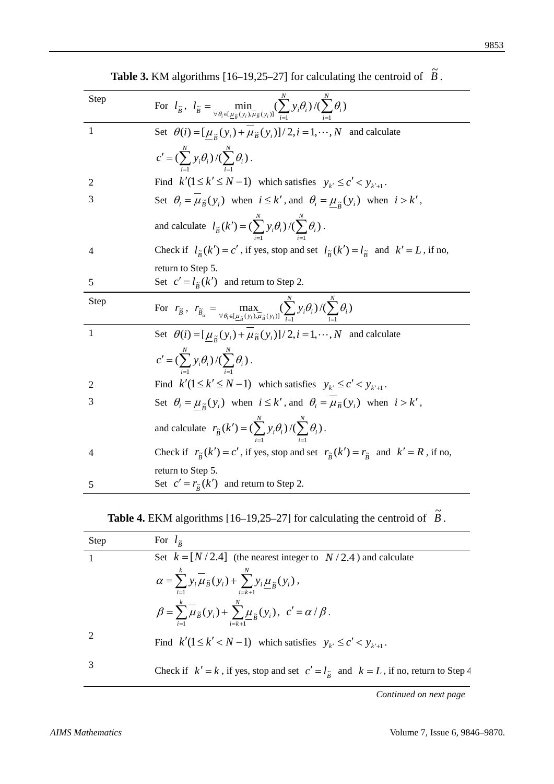| <b>Step</b>    | For $l_{\tilde{B}}$ , $l_{\tilde{B}} = \min_{\forall \theta_i \in [\underline{\mu}_{\tilde{B}}(y_i), \overline{\mu}_{\tilde{B}}(y_i)]} (\sum_{i=1}^N y_i \theta_i) / (\sum_{i=1}^N \theta_i)$ |
|----------------|-----------------------------------------------------------------------------------------------------------------------------------------------------------------------------------------------|
| $\mathbf{1}$   | Set $\theta(i) = [\mu_{\tilde{B}}(y_i) + \mu_{\tilde{B}}(y_i)]/2, i = 1, \dots, N$ and calculate                                                                                              |
|                | $c' = (\sum_{i=1}^N y_i \theta_i) / (\sum_{i=1}^N \theta_i).$                                                                                                                                 |
| 2              | Find $k'(1 \le k' \le N-1)$ which satisfies $y_{k'} \le c' < y_{k'+1}$ .                                                                                                                      |
| 3              | Set $\theta_i = \mu_{\tilde{B}}(y_i)$ when $i \leq k'$ , and $\theta_i = \mu_{\tilde{B}}(y_i)$ when $i > k'$ ,                                                                                |
|                | and calculate $l_{\tilde{B}}(k') = (\sum_{i=1}^{N} y_i \theta_i) / (\sum_{i=1}^{N} \theta_i)$ .                                                                                               |
| $\overline{4}$ | Check if $l_{\tilde{B}}(k') = c'$ , if yes, stop and set $l_{\tilde{B}}(k') = l_{\tilde{B}}$ and $k' = L$ , if no,                                                                            |
| 5              | return to Step 5.<br>Set $c' = l_{\tilde{R}}(k')$ and return to Step 2.                                                                                                                       |
|                |                                                                                                                                                                                               |
| Step           | For $r_{\tilde{B}}$ , $r_{\tilde{B}_{\alpha}} = \max_{\forall \theta_i \in [\mu_{\tilde{n}}(y_i), \mu_{\tilde{n}}(y_i)]} (\sum_{i=1}^N y_i \theta_i) / (\sum_{i=1}^N \theta_i)$               |
| $\mathbf{1}$   | Set $\theta(i) = [\mu_{\tilde{B}}(y_i) + \mu_{\tilde{B}}(y_i)]/2, i = 1, \dots, N$ and calculate                                                                                              |
|                | $c' = (\sum_{i=1}^{N} y_i \theta_i) / (\sum_{i=1}^{N} \theta_i).$                                                                                                                             |
| 2              | Find $k'(1 \le k' \le N-1)$ which satisfies $y_{k'} \le c' < y_{k'+1}$ .                                                                                                                      |
| 3              | Set $\theta_i = \mu_{\tilde{B}}(y_i)$ when $i \leq k'$ , and $\theta_i = \mu_{\tilde{B}}(y_i)$ when $i > k'$ ,                                                                                |
|                | and calculate $r_{\tilde{B}}(k') = (\sum_{i=1}^{N} y_i \theta_i) / (\sum_{i=1}^{N} \theta_i)$ .                                                                                               |
| 4              | Check if $r_{\tilde{B}}(k') = c'$ , if yes, stop and set $r_{\tilde{B}}(k') = r_{\tilde{B}}$ and $k' = R$ , if no,                                                                            |
| 5              | return to Step 5.<br>Set $c' = r_{\tilde{B}}(k')$ and return to Step 2.                                                                                                                       |

**Table 3.** KM algorithms [16–19,25–27] for calculating the centroid of  $\tilde{B}$ .

# **Table 4.** EKM algorithms [16–19,25–27] for calculating the centroid of  $\tilde{B}$ .

| <b>Step</b>   | For $l_{\tilde{p}}$                                                                                                                        |
|---------------|--------------------------------------------------------------------------------------------------------------------------------------------|
|               | Set $k = [N/2.4]$ (the nearest integer to $N/2.4$ ) and calculate                                                                          |
|               | $\alpha = \sum_{i=1}^{k} y_i \overline{\mu}_{\tilde{B}}(y_i) + \sum_{i=k+1}^{N} y_i \underline{\mu}_{\tilde{B}}(y_i),$                     |
|               | $\beta = \sum_{i=1}^{k} \overline{\mu}_{\widetilde{B}}(y_i) + \sum_{i=1}^{N} \underline{\mu}_{\widetilde{B}}(y_i), \ c' = \alpha / \beta.$ |
| 2             | Find $k'(1 \le k' < N - 1)$ which satisfies $y_{k'} \le c' < y_{k'+1}$ .                                                                   |
| $\mathcal{R}$ | Check if $k' = k$ , if yes, stop and set $c' = l_{\tilde{R}}$ and $k = L$ , if no, return to Step 4                                        |

*Continued on next page*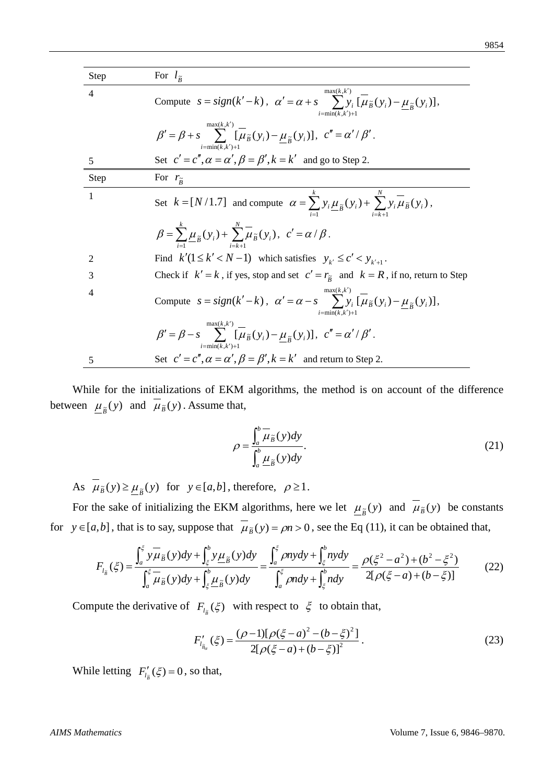| Step           | For $l_{\tilde{p}}$                                                                                                                                          |
|----------------|--------------------------------------------------------------------------------------------------------------------------------------------------------------|
| $\overline{4}$ | max(k, k')<br>Compute $s = sign(k'-k)$ , $\alpha' = \alpha + s$ $\sum y_i [\mu_{\tilde{B}}(y_i) - \mu_{\tilde{B}}(y_i)],$<br>$i=\min(k, k')+1$               |
|                | max(k, k')<br>$\beta' = \beta + s$ $\sum$ $[\mu_{\tilde{B}}(y_i) - \mu_{\tilde{B}}(y_i)], c'' = \alpha'/\beta'.$<br>$i=\min(k, k')+1$                        |
| 5              | Set $c' = c'', \alpha = \alpha', \beta = \beta', k = k'$ and go to Step 2.                                                                                   |
| Step           | For $r_{\tilde{R}}$                                                                                                                                          |
| 1              | Set $k = [N/1.7]$ and compute $\alpha = \sum y_i \underline{\mu}_{\tilde{B}}(y_i) + \sum y_i \overline{\mu}_{\tilde{B}}(y_i)$ ,                              |
|                | $\beta = \sum_{i=1}^{k} \mu_{\tilde{B}}(y_i) + \sum_{i=1}^{k} \mu_{\tilde{B}}(y_i), \ c' = \alpha / \beta.$                                                  |
| 2              | Find $k'(1 \le k' < N - 1)$ which satisfies $y_{k'} \le c' < y_{k'+1}$ .                                                                                     |
| 3              | Check if $k' = k$ , if yes, stop and set $c' = r_{\tilde{B}}$ and $k = R$ , if no, return to Step                                                            |
| 4              | max(k, k')<br>Compute $s = sign(k'-k)$ , $\alpha' = \alpha - s$ $\sum y_i [\mu_{\tilde{B}}(y_i) - \mu_{\tilde{B}}(y_i)],$<br>$i=\min(k, k')+1$               |
|                | max(k, k')<br>$\beta' = \beta - s$ $\sum \left[ \overline{\mu}_{\tilde{B}}(y_i) - \mu_{\tilde{B}}(y_i) \right], c'' = \alpha'/\beta'.$<br>$i = min(k, k') +$ |
| 5              | Set $c' = c'', \alpha = \alpha', \beta = \beta', k = k'$ and return to Step 2.                                                                               |

While for the initializations of EKM algorithms, the method is on account of the difference between  $\mu_{\tilde{B}}(y)$  and  $\mu_{\tilde{B}}(y)$ . Assume that,

$$
\rho = \frac{\int_a^b \overline{\mu}_{\tilde{B}}(y) dy}{\int_a^b \underline{\mu}_{\tilde{B}}(y) dy}.
$$
\n(21)

As  $\overline{\mu}_{\tilde{B}}(y) \ge \underline{\mu}_{\tilde{B}}(y)$  for  $y \in [a, b]$ , therefore,  $\rho \ge 1$ .

For the sake of initializing the EKM algorithms, here we let  $\mu_{\tilde{B}}(y)$  and  $\bar{\mu}_{\tilde{B}}(y)$  be constants for  $y \in [a,b]$ , that is to say, suppose that  $\mu_{\tilde{B}}(y) = \rho n > 0$ , see the Eq (11), it can be obtained that,

$$
F_{l_{\tilde{B}}}(\xi) = \frac{\int_a^{\xi} y \overline{\mu}_{\tilde{B}}(y) dy + \int_{\xi}^{b} y \underline{\mu}_{\tilde{B}}(y) dy}{\int_a^{\xi} \overline{\mu}_{\tilde{B}}(y) dy + \int_{\xi}^{b} \underline{\mu}_{\tilde{B}}(y) dy} = \frac{\int_a^{\xi} \rho ny dy + \int_{\xi}^{b} n y dy}{\int_a^{\xi} \rho n dy + \int_{\xi}^{b} n dy} = \frac{\rho(\xi^2 - a^2) + (b^2 - \xi^2)}{2[\rho(\xi - a) + (b - \xi)]}
$$
(22)

Compute the derivative of  $F_{l_{\bar{B}}}(\xi)$  with respect to  $\xi$  to obtain that,

$$
F'_{l_{\tilde{B}_{\alpha}}}(\xi) = \frac{(\rho - 1)[\rho(\xi - a)^2 - (b - \xi)^2]}{2[\rho(\xi - a) + (b - \xi)]^2}.
$$
\n(23)

While letting  $F'_{l_{\tilde{B}}}(\xi) = 0$ , so that,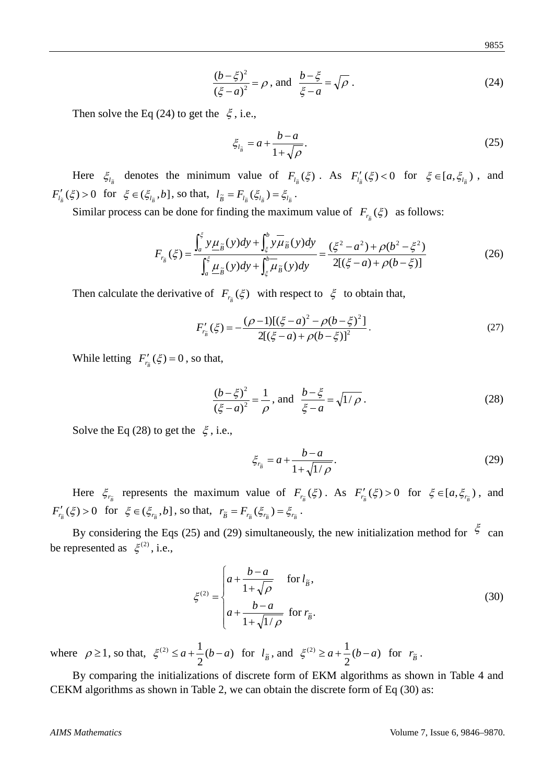$$
9855\\
$$

$$
\frac{(b-\xi)^2}{(\xi-a)^2} = \rho \text{, and } \frac{b-\xi}{\xi-a} = \sqrt{\rho} \text{ .}
$$
 (24)

Then solve the Eq (24) to get the  $\xi$ , i.e.,

$$
\xi_{l_{\tilde{B}}} = a + \frac{b - a}{1 + \sqrt{\rho}}.\tag{25}
$$

Here  $\xi_{l_{\tilde{B}}}$  denotes the minimum value of  $F_{l_{\tilde{B}}}(\xi)$ . As  $F'_{l_{\tilde{B}}}(\xi) < 0$  for  $\xi \in [a, \xi_{l_{\tilde{B}}})$ , and  $F'_{l_{\tilde{B}}}(\xi) > 0$  for  $\xi \in (\xi_{l_{\tilde{B}}}, b]$ , so that,  $l_{\tilde{B}} = F_{l_{\tilde{B}}}(\xi_{l_{\tilde{B}}}) = \xi_{l_{\tilde{B}}}$ .

Similar process can be done for finding the maximum value of  $F_{r_{\tilde{B}}}(\xi)$  as follows:

$$
F_{r_{\tilde{B}}}(\xi) = \frac{\int_a^{\xi} y \underline{\mu}_{\tilde{B}}(y) dy + \int_{\xi}^{b} y \overline{\mu}_{\tilde{B}}(y) dy}{\int_a^{\xi} \underline{\mu}_{\tilde{B}}(y) dy + \int_{\xi}^{b} \overline{\mu}_{\tilde{B}}(y) dy} = \frac{(\xi^2 - a^2) + \rho(b^2 - \xi^2)}{2[(\xi - a) + \rho(b - \xi)]}
$$
(26)

Then calculate the derivative of  $F_{r_{\bar{B}}}(\xi)$  with respect to  $\xi$  to obtain that,

$$
F'_{r_{\tilde{B}}}(\xi) = -\frac{(\rho - 1)[(\xi - a)^2 - \rho(b - \xi)^2]}{2[(\xi - a) + \rho(b - \xi)]^2}.
$$
\n(27)

While letting  $F'_{r_{\tilde{B}}}(\xi) = 0$ , so that,

$$
\frac{(b-\xi)^2}{(\xi-a)^2} = \frac{1}{\rho}, \text{ and } \frac{b-\xi}{\xi-a} = \sqrt{1/\rho}.
$$
 (28)

Solve the Eq (28) to get the  $\xi$ , i.e.,

$$
\xi_{r_{\tilde{B}}} = a + \frac{b - a}{1 + \sqrt{1/\rho}}.\tag{29}
$$

Here  $\xi_{r_{\bar{B}}}$  represents the maximum value of  $F_{r_{\bar{B}}}(\xi)$ . As  $F'_{r_{\bar{B}}}(\xi) > 0$  for  $\xi \in [a, \xi_{r_{\bar{B}}} )$ , and  $F'_{r_{\tilde{B}}}(\xi) > 0$  for  $\xi \in (\xi_{r_{\tilde{B}}}, b]$ , so that,  $r_{\tilde{B}} = F_{r_{\tilde{B}}}(\xi_{r_{\tilde{B}}}) = \xi_{r_{\tilde{B}}}$ .

By considering the Eqs (25) and (29) simultaneously, the new initialization method for  $\zeta$  can be represented as  $\xi^{(2)}$ , i.e.,

$$
\xi^{(2)} = \begin{cases}\n a + \frac{b-a}{1+\sqrt{\rho}} & \text{for } l_{\tilde{B}}, \\
 a + \frac{b-a}{1+\sqrt{1/\rho}} & \text{for } r_{\tilde{B}}.\n\end{cases}
$$
\n(30)

where  $\rho \ge 1$ , so that,  $\xi^{(2)} \le a + \frac{1}{2}(b-a)$  for  $l_{\tilde{B}}$ , and  $\xi^{(2)} \ge a + \frac{1}{2}(b-a)$  for  $r_{\tilde{B}}$ .

By comparing the initializations of discrete form of EKM algorithms as shown in Table 4 and CEKM algorithms as shown in Table 2, we can obtain the discrete form of Eq (30) as: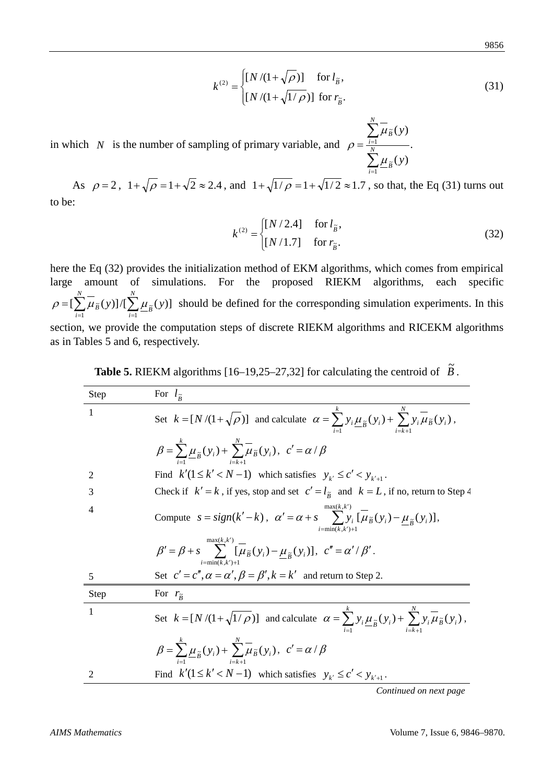$$
k^{(2)} = \begin{cases} [N/(1+\sqrt{\rho})] & \text{for } l_{\tilde{B}}, \\ [N/(1+\sqrt{1/\rho})] & \text{for } r_{\tilde{B}}. \end{cases}
$$
(31)

in which *N* is the number of sampling of primary variable, and  $\rho = \frac{i-1}{N}$ .  $(y)$  $(y)$  $\tilde{r}$ 1  $\tilde{p}$ ∑ ∑  $=\frac{i}{N}$ *B i B y y*  $\mu$  $\mu$ ρ

As  $\rho = 2$ ,  $1 + \sqrt{\rho} = 1 + \sqrt{2} \approx 2.4$ , and  $1 + \sqrt{1/\rho} = 1 + \sqrt{1/2} \approx 1.7$ , so that, the Eq (31) turns out to be:

$$
k^{(2)} = \begin{cases} [N/2.4] & \text{for } l_{\tilde{B}}, \\ [N/1.7] & \text{for } r_{\tilde{B}}. \end{cases}
$$
 (32)

1 = *i*

*N*

here the Eq (32) provides the initialization method of EKM algorithms, which comes from empirical large amount of simulations. For the proposed RIEKM algorithms, each specific  $=[\sum_{i=1}^{N} \overline{\mu}_{\tilde{B}}(y)]/[\sum_{i=1}^{N}$ *i N*  $\int_{A}^{\infty} \mu_{\widetilde{B}}(y) \, d\mu$   $\int_{A=1}^{\infty} \mu_{\widetilde{B}}(y)$  $\rho = [\sum \mu_{\tilde{B}}(y)]/[\sum \mu_{\tilde{B}}(y)]$  should be defined for the corresponding simulation experiments. In this section, we provide the computation steps of discrete RIEKM algorithms and RICEKM algorithms as in Tables 5 and 6, respectively.

| <b>Table 5.</b> RIEKM algorithms $[16-19,25-27,32]$ for calculating the centroid of $B$ . |  |  |  |
|-------------------------------------------------------------------------------------------|--|--|--|
|-------------------------------------------------------------------------------------------|--|--|--|

| Step | For $l_{\tilde{p}}$                                                                                                                               |
|------|---------------------------------------------------------------------------------------------------------------------------------------------------|
| 1    | Set $k = [N/(1+\sqrt{\rho})]$ and calculate $\alpha = \sum y_i \underline{\mu}_{\tilde{B}}(y_i) + \sum y_i \overline{\mu}_{\tilde{B}}(y_i)$ ,     |
|      | $\beta = \sum_{i=1}^{\kappa} \mu_{\widetilde{B}}(y_i) + \sum_{i=1}^{\kappa} \mu_{\widetilde{B}}(y_i), \ c' = \alpha/\beta$                        |
| 2    | Find $k'(1 \le k' < N - 1)$ which satisfies $y_{k'} \le c' < y_{k'+1}$ .                                                                          |
| 3    | Check if $k' = k$ , if yes, stop and set $c' = l_{\tilde{R}}$ and $k = L$ , if no, return to Step 4                                               |
| 4    | max(k, k')<br>Compute $s = sign(k'-k)$ , $\alpha' = \alpha + s$ $\sum y_i [\mu_{\tilde{B}}(y_i) - \mu_{\tilde{B}}(y_i)],$<br>$i = min(k, k') + 1$ |
|      | max(k, k')<br>$\beta' = \beta + s$ $\sum_i [\mu_{\tilde{B}}(y_i) - \mu_{\tilde{B}}(y_i)], c'' = \alpha'/\beta'.$<br>$i=\min(k, k')+1$             |
| 5    | Set $c' = c'', \alpha = \alpha', \beta = \beta', k = k'$ and return to Step 2.                                                                    |
| Step | For $r_{\tilde{R}}$                                                                                                                               |
| 1    | Set $k = [N/(1 + \sqrt{1/\rho})]$ and calculate $\alpha = \sum y_i \mu_{\tilde{B}}(y_i) + \sum y_i \mu_{\tilde{B}}(y_i)$ ,                        |
|      | $\beta = \sum_{i=1}^{k} \mu_{\tilde{B}}(y_i) + \sum_{i=1}^{k} \mu_{\tilde{B}}(y_i), \ c' = \alpha / \beta$                                        |
| 2    | Find $k'(1 \le k' < N-1)$ which satisfies $y_{k'} \le c' < y_{k'+1}$ .                                                                            |

*Continued on next page*

 $\sim$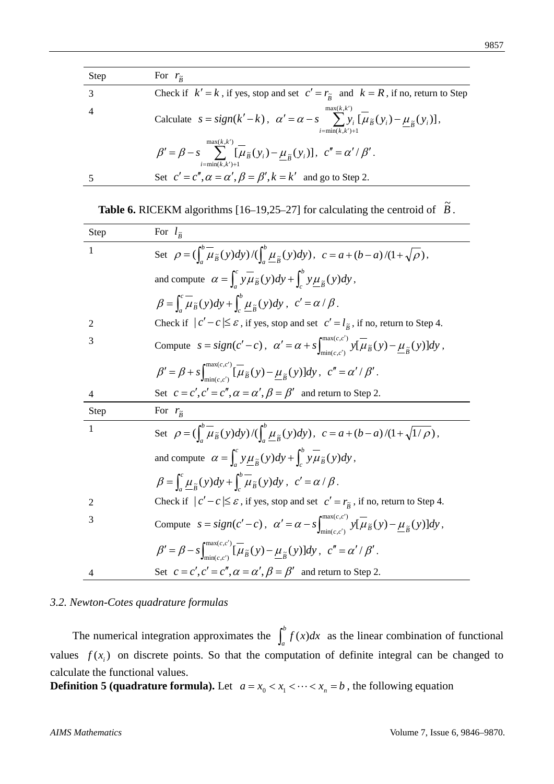| <b>Step</b>    | For $r_{\tilde{p}}$                                                                                                                                 |
|----------------|-----------------------------------------------------------------------------------------------------------------------------------------------------|
|                | Check if $k' = k$ , if yes, stop and set $c' = r_{\tilde{R}}$ and $k = R$ , if no, return to Step                                                   |
| $\overline{4}$ | max(k, k')<br>Calculate $s = sign(k'-k)$ , $\alpha' = \alpha - s$ $\sum y_i [\mu_{\tilde{B}}(y_i) - \mu_{\tilde{B}}(y_i)],$<br>$i = min(k, k') + 1$ |
|                | $\beta' = \beta - s$ $\sum_{i} \left[ \overline{\mu}_{\tilde{B}}(y_i) - \mu_{\tilde{B}}(y_i) \right], c'' = \alpha'/\beta'.$<br>$i=\min(k,k')+1$    |
|                | Set $c' = c'', \alpha = \alpha', \beta = \beta', k = k'$ and go to Step 2.                                                                          |

| <b>Table 6.</b> RICEKM algorithms $[16-19,25-27]$ for calculating the centroid of $\overline{B}$ . |  |
|----------------------------------------------------------------------------------------------------|--|
|                                                                                                    |  |

| Step           | For $l_{\tilde{R}}$                                                                                                                                          |
|----------------|--------------------------------------------------------------------------------------------------------------------------------------------------------------|
| 1              | Set $\rho = \left(\int_a^b \overline{\mu}_{\tilde{B}}(y)dy\right)/\left(\int_a^b \mu_{\tilde{B}}(y)dy\right), \ c = a + (b-a)/(1+\sqrt{\rho}),$              |
|                | and compute $\alpha = \int_{c}^{c} y \overline{\mu}_{\tilde{B}}(y) dy + \int_{\tilde{B}}^{b} y \mu_{\tilde{B}}(y) dy$ ,                                      |
|                | $\beta = \int_{a}^{c} \mu_{\tilde{B}}(y) dy + \int_{a}^{b} \mu_{\tilde{B}}(y) dy, \ c' = \alpha / \beta.$                                                    |
| 2              | Check if $ c'-c  \leq \varepsilon$ , if yes, stop and set $c' = l_{\tilde{B}}$ , if no, return to Step 4.                                                    |
| 3              | Compute $s = sign(c'-c)$ , $\alpha' = \alpha + s \int_{min(c,c')}^{max(c,c')} y[\overline{\mu}_{\widetilde{B}}(y) - \underline{\mu}_{\widetilde{B}}(y)]dy$ , |
|                | $\beta' = \beta + s \int_{\min(c,c')}^{\max(c,c')} [\overline{\mu}_{\widetilde{B}}(y) - \underline{\mu}_{\widetilde{B}}(y)]dy, c'' = \alpha'/\beta'.$        |
| $\overline{4}$ | Set $c = c', c' = c'', \alpha = \alpha', \beta = \beta'$ and return to Step 2.                                                                               |
|                |                                                                                                                                                              |
| Step           | For $r_{\tilde{B}}$                                                                                                                                          |
| $\mathbf{1}$   | Set $\rho = \left(\int_a^b \overline{\mu}_{\tilde{B}}(y)dy\right)/\left(\int_a^b \mu_{\tilde{B}}(y)dy\right), \ c = a + (b-a)/(1+\sqrt{1/\rho}),$            |
|                | and compute $\alpha = \int_{a}^{c} y \mu_{\tilde{B}}(y) dy + \int_{a}^{b} y \mu_{\tilde{B}}(y) dy$ ,                                                         |
|                | $\beta = \int_{a}^{c} \mu_{\tilde{n}}(y) dy + \int_{a}^{b} \mu_{\tilde{B}}(y) dy, \ c' = \alpha / \beta.$                                                    |
| 2              | Check if $ c'-c  \leq \varepsilon$ , if yes, stop and set $c' = r_{\tilde{\beta}}$ , if no, return to Step 4.                                                |
| 3              | Compute $s = sign(c'-c)$ , $\alpha' = \alpha - s \int_{min(c',c')}^{max(c,c')} y[\overline{\mu}_{\tilde{B}}(y) - \underline{\mu}_{\tilde{B}}(y)]dy$ ,        |
|                | $\beta' = \beta - s \int_{\min(c, c')}^{\max(c, c')} [\overline{\mu}_{\tilde{B}}(y) - \underline{\mu}_{\tilde{B}}(y)]dy, c'' = \alpha'/\beta'.$              |

# *3.2. Newton-Cotes quadrature formulas*

The numerical integration approximates the  $\int_a^b f(x)dx$  as the linear combination of functional values  $f(x_i)$  on discrete points. So that the computation of definite integral can be changed to calculate the functional values.

**Definition 5 (quadrature formula).** Let  $a = x_0 < x_1 < \cdots < x_n = b$ , the following equation

9857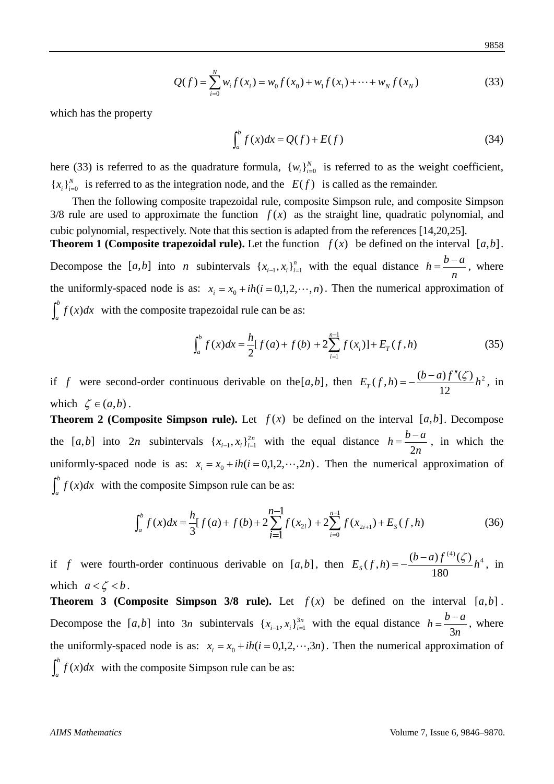$$
Q(f) = \sum_{i=0}^{N} w_i f(x_i) = w_0 f(x_0) + w_1 f(x_1) + \dots + w_N f(x_N)
$$
 (33)

which has the property

$$
\int_{a}^{b} f(x)dx = Q(f) + E(f)
$$
\n(34)

here (33) is referred to as the quadrature formula,  $\{w_i\}_{i=0}^N$  is referred to as the weight coefficient,  ${x_i}_{i=0}^N$  is referred to as the integration node, and the  $E(f)$  is called as the remainder.

Then the following composite trapezoidal rule, composite Simpson rule, and composite Simpson  $3/8$  rule are used to approximate the function  $f(x)$  as the straight line, quadratic polynomial, and cubic polynomial, respectively. Note that this section is adapted from the references [14,20,25].

**Theorem 1 (Composite trapezoidal rule).** Let the function  $f(x)$  be defined on the interval  $[a,b]$ . Decompose the [*a*,*b*] into *n* subintervals  $\{x_{i-1}, x_i\}_{i=1}^n$  with the equal distance  $h = \frac{b-a}{n}$  $h = \frac{b-a}{a}$ , where the uniformly-spaced node is as:  $x_i = x_0 + ih(i = 0,1,2,\dots, n)$ . Then the numerical approximation of  $\int_a^b f(x)dx$  with the composite trapezoidal rule can be as:

$$
\int_{a}^{b} f(x)dx = \frac{h}{2}[f(a) + f(b) + 2\sum_{i=1}^{n-1} f(x_i)] + E_T(f, h)
$$
 (35)

if *f* were second-order continuous derivable on the [a, b], then  $E_T(f,h) = -\frac{(b-a)f'(g)}{f}h^2$  $E_T(f, h) = -\frac{(b-a)f''(\zeta)}{12}h^2$ , in which  $\zeta \in (a,b)$ .

**Theorem 2 (Composite Simpson rule).** Let  $f(x)$  be defined on the interval  $[a,b]$ . Decompose the [a,b] into 2*n* subintervals  $\{x_{i-1}, x_i\}_{i=1}^{2n}$  with the equal distance  $h = \frac{b-1}{2n}$  $h = \frac{b-a}{2}$ 2  $=\frac{b-a}{2}$ , in which the uniformly-spaced node is as:  $x_i = x_0 + ih(i = 0,1,2,\dots,2n)$ . Then the numerical approximation of  $\int_a^b f(x)dx$  with the composite Simpson rule can be as:

$$
\int_{a}^{b} f(x)dx = \frac{h}{3}[f(a) + f(b) + 2\sum_{i=1}^{n-1} f(x_{2i}) + 2\sum_{i=0}^{n-1} f(x_{2i+1}) + E_{s}(f, h) \tag{36}
$$

if *f* were fourth-order continuous derivable on [a,b], then  $E_s(f,h) = -\frac{(b-a)f^{(4)}(\zeta)}{100}h^4$  $E_S(f, h) = -\frac{(b-a)f^{(4)}(\zeta)}{180}h^4$ , in which  $a < \zeta < b$ .

**Theorem 3 (Composite Simpson 3/8 rule).** Let  $f(x)$  be defined on the interval  $[a,b]$ . Decompose the [a,b] into  $3n$  subintervals  $\{x_{i-1}, x_i\}_{i=1}^{3n}$  with the equal distance  $h = \frac{b-3n}{3n}$  $h = \frac{b-a}{2}$ 3  $=\frac{b-a}{2}$ , where the uniformly-spaced node is as:  $x_i = x_0 + ih(i = 0,1,2,\dots,3n)$ . Then the numerical approximation of  $\int_a^b f(x)dx$  with the composite Simpson rule can be as: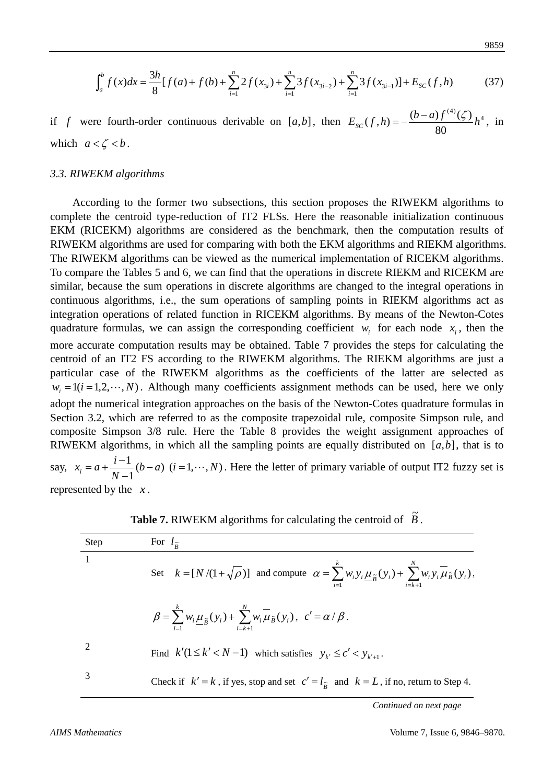$$
9859\\
$$

$$
\int_{a}^{b} f(x)dx = \frac{3h}{8}[f(a) + f(b) + \sum_{i=1}^{n} 2f(x_{3i}) + \sum_{i=1}^{n} 3f(x_{3i-2}) + \sum_{i=1}^{n} 3f(x_{3i-1})] + E_{SC}(f, h)
$$
(37)

if *f* were fourth-order continuous derivable on [a,b], then  $E_{SC}(f,h) = -\frac{(b-a)f^{(4)}(\zeta)}{2a}h^4$  $E_{SC}(f, h) = -\frac{(b-a)f^{(4)}(\zeta)}{80}h^4$ , in which  $a < \zeta < b$ .

### *3.3. RIWEKM algorithms*

According to the former two subsections, this section proposes the RIWEKM algorithms to complete the centroid type-reduction of IT2 FLSs. Here the reasonable initialization continuous EKM (RICEKM) algorithms are considered as the benchmark, then the computation results of RIWEKM algorithms are used for comparing with both the EKM algorithms and RIEKM algorithms. The RIWEKM algorithms can be viewed as the numerical implementation of RICEKM algorithms. To compare the Tables 5 and 6, we can find that the operations in discrete RIEKM and RICEKM are similar, because the sum operations in discrete algorithms are changed to the integral operations in continuous algorithms, i.e., the sum operations of sampling points in RIEKM algorithms act as integration operations of related function in RICEKM algorithms. By means of the Newton-Cotes quadrature formulas, we can assign the corresponding coefficient  $w_i$  for each node  $x_i$ , then the more accurate computation results may be obtained. Table 7 provides the steps for calculating the centroid of an IT2 FS according to the RIWEKM algorithms. The RIEKM algorithms are just a particular case of the RIWEKM algorithms as the coefficients of the latter are selected as  $w_i = 1(i = 1, 2, \dots, N)$ . Although many coefficients assignment methods can be used, here we only adopt the numerical integration approaches on the basis of the Newton-Cotes quadrature formulas in Section 3.2, which are referred to as the composite trapezoidal rule, composite Simpson rule, and composite Simpson 3/8 rule. Here the Table 8 provides the weight assignment approaches of RIWEKM algorithms, in which all the sampling points are equally distributed on  $[a,b]$ , that is to say,  $x_i = a + \frac{i-1}{N-1}(b-a)$   $(i = 1, \dots, N)$ *N*  $x_i = a + \frac{i-1}{N-1}(b-a)$  (*i* = 1, ···, *N*). Here the letter of primary variable of output IT2 fuzzy set is

represented by the *x* .

| Step | For $l_{\tilde{p}}$                                                                                                                                                       |
|------|---------------------------------------------------------------------------------------------------------------------------------------------------------------------------|
|      | Set $k = [N/(1+\sqrt{\rho})]$ and compute $\alpha = \sum_{i=1}^{k} w_i y_i \underline{\mu}_{\tilde{B}}(y_i) + \sum_{i=k+1}^{N} w_i y_i \overline{\mu}_{\tilde{B}}(y_i)$ , |
|      | $\beta = \sum_{i=1}^k w_i \underline{\mu}_{\tilde{B}}(y_i) + \sum_{i=k+1}^N w_i \overline{\mu}_{\tilde{B}}(y_i), \ \ c' = \alpha / \beta.$                                |
| 2    | Find $k'(1 \le k' < N - 1)$ which satisfies $y_{k'} \le c' < y_{k'+1}$ .                                                                                                  |
| 3    | Check if $k' = k$ , if yes, stop and set $c' = l_{\tilde{R}}$ and $k = L$ , if no, return to Step 4.                                                                      |

| <b>Table 7.</b> RIWEKM algorithms for calculating the centroid of $\mathbf{B}$ . |  |
|----------------------------------------------------------------------------------|--|
|                                                                                  |  |

*Continued on next page*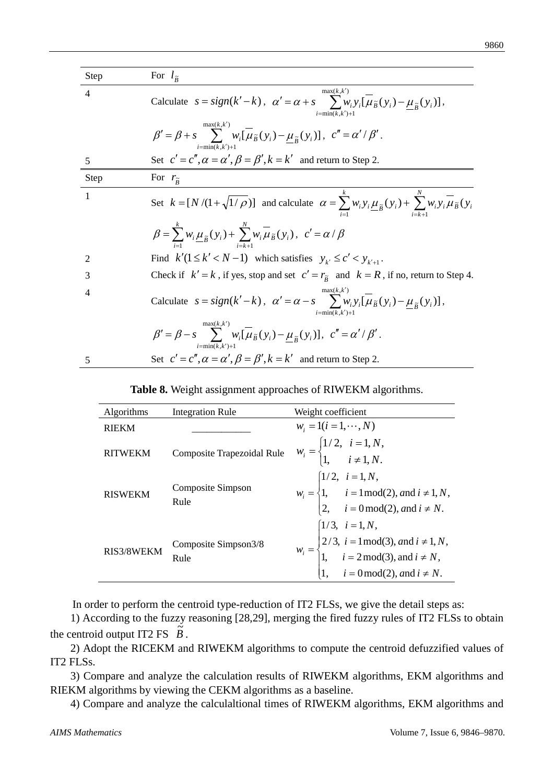| Step | For $l_{\tilde{p}}$                                                                                                                                            |
|------|----------------------------------------------------------------------------------------------------------------------------------------------------------------|
| 4    | max(k, k')<br>Calculate $s = sign(k'-k)$ , $\alpha' = \alpha + s$ $\sum w_i y_i [\mu_{\tilde{B}}(y_i) - \mu_{\tilde{B}}(y_i)],$<br>$i=\min(k, k')+1$           |
|      | max(k, k')<br>$\beta' = \beta + s$ $\sum_{i} w_i [\mu_{\tilde{B}}(y_i) - \mu_{\tilde{B}}(y_i)], c'' = \alpha'/\beta'.$<br>$i=\min(k,k')+1$                     |
| 5    | Set $c' = c'', \alpha = \alpha', \beta = \beta', k = k'$ and return to Step 2.                                                                                 |
| Step | For $r_{\tilde{R}}$                                                                                                                                            |
| 1    | Set $k = [N/(1 + \sqrt{1/\rho})]$ and calculate $\alpha = \sum w_i y_i \mu_{\tilde{B}}(y_i) + \sum w_i y_i \mu_{\tilde{B}}(y_i)$                               |
|      | $\beta = \sum_{i=1}^{k} w_i \underline{\mu}_{\widetilde{B}}(y_i) + \sum_{i=1}^{k} w_i \overline{\mu}_{\widetilde{B}}(y_i), \ c' = \alpha/\beta$                |
| 2    | Find $k'(1 \le k' < N-1)$ which satisfies $y_{k'} \le c' < y_{k'+1}$ .                                                                                         |
| 3    | Check if $k' = k$ , if yes, stop and set $c' = r_{\tilde{B}}$ and $k = R$ , if no, return to Step 4.                                                           |
| 4    | max(k, k')<br>Calculate $s = sign(k'-k)$ , $\alpha' = \alpha - s$ $\sum w_i y_i [\overline{\mu}_{\tilde{B}}(y_i) - \mu_{\tilde{B}}(y_i)],$<br>$i=\min(k,k')+1$ |
|      | max(k, k')<br>$\beta' = \beta - s$ $\sum w_i [\mu_{\tilde{B}}(y_i) - \mu_{\tilde{B}}(y_i)], c'' = \alpha'/\beta'.$<br>$i=\min(k, k')+$                         |
| 5    | Set $c' = c'', \alpha = \alpha', \beta = \beta', k = k'$ and return to Step 2.                                                                                 |

|  |  |  |  | Table 8. Weight assignment approaches of RIWEKM algorithms. |  |
|--|--|--|--|-------------------------------------------------------------|--|
|--|--|--|--|-------------------------------------------------------------|--|

| Algorithms     | <b>Integration Rule</b>      | Weight coefficient                                                                                                                                                                                                    |
|----------------|------------------------------|-----------------------------------------------------------------------------------------------------------------------------------------------------------------------------------------------------------------------|
| <b>RIEKM</b>   |                              | $w_i = 1(i = 1, \cdots, N)$                                                                                                                                                                                           |
| <b>RITWEKM</b> | Composite Trapezoidal Rule   | $w_i = \begin{cases} 1/2, & i = 1, N, \\ 1, & i \neq 1, N. \end{cases}$                                                                                                                                               |
| <b>RISWEKM</b> | Composite Simpson<br>Rule    | $w_i = \begin{cases} 1/2, & i = 1, N, \\ 1, & i = 1 \text{ mod}(2), \text{ and } i \neq 1, N, \\ 2, & i = 0 \text{ mod}(2), \text{ and } i \neq N. \end{cases}$                                                       |
| RIS3/8WEKM     | Composite Simpson3/8<br>Rule | $w_i =\begin{cases} 1/3, & i = 1, N, \\ 2/3, & i = 1 \text{ mod}(3), \text{ and } i \neq 1, N, \\ 1, & i = 2 \text{ mod}(3), \text{ and } i \neq N, \\ 1, & i = 0 \text{ mod}(2), \text{ and } i \neq N. \end{cases}$ |

In order to perform the centroid type-reduction of IT2 FLSs, we give the detail steps as:

1) According to the fuzzy reasoning [28,29], merging the fired fuzzy rules of IT2 FLSs to obtain the centroid output IT2 FS  $\tilde{B}$ .

2) Adopt the RICEKM and RIWEKM algorithms to compute the centroid defuzzified values of IT2 FLSs.

3) Compare and analyze the calculation results of RIWEKM algorithms, EKM algorithms and RIEKM algorithms by viewing the CEKM algorithms as a baseline.

4) Compare and analyze the calculaltional times of RIWEKM algorithms, EKM algorithms and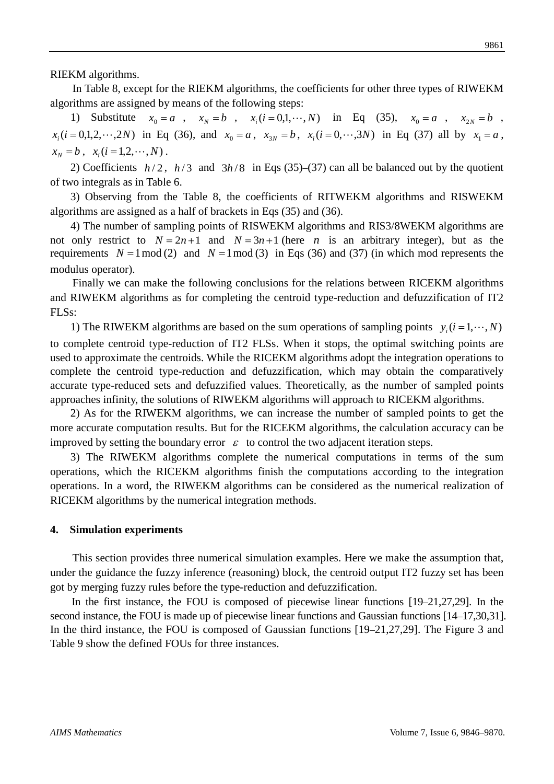RIEKM algorithms.

In Table 8, except for the RIEKM algorithms, the coefficients for other three types of RIWEKM algorithms are assigned by means of the following steps:

1) Substitute  $x_0 = a$ ,  $x_N = b$ ,  $x_i (i = 0, 1, \dots, N)$  in Eq (35),  $x_0 = a$ ,  $x_{2N} = b$ ,  $x_i(i = 0,1,2,\dots,2N)$  in Eq (36), and  $x_0 = a$ ,  $x_{3N} = b$ ,  $x_i(i = 0,\dots,3N)$  in Eq (37) all by  $x_1 = a$ ,  $x_N = b$ ,  $x_i (i = 1, 2, \dots, N)$ .

2) Coefficients  $h/2$ ,  $h/3$  and  $3h/8$  in Eqs (35)–(37) can all be balanced out by the quotient of two integrals as in Table 6.

3) Observing from the Table 8, the coefficients of RITWEKM algorithms and RISWEKM algorithms are assigned as a half of brackets in Eqs (35) and (36).

4) The number of sampling points of RISWEKM algorithms and RIS3/8WEKM algorithms are not only restrict to  $N = 2n + 1$  and  $N = 3n + 1$  (here *n* is an arbitrary integer), but as the requirements  $N = 1 \mod (2)$  and  $N = 1 \mod (3)$  in Eqs (36) and (37) (in which mod represents the modulus operator).

Finally we can make the following conclusions for the relations between RICEKM algorithms and RIWEKM algorithms as for completing the centroid type-reduction and defuzzification of IT2 FLSs:

1) The RIWEKM algorithms are based on the sum operations of sampling points  $y_i (i = 1, \dots, N)$ to complete centroid type-reduction of IT2 FLSs. When it stops, the optimal switching points are used to approximate the centroids. While the RICEKM algorithms adopt the integration operations to complete the centroid type-reduction and defuzzification, which may obtain the comparatively accurate type-reduced sets and defuzzified values. Theoretically, as the number of sampled points approaches infinity, the solutions of RIWEKM algorithms will approach to RICEKM algorithms.

2) As for the RIWEKM algorithms, we can increase the number of sampled points to get the more accurate computation results. But for the RICEKM algorithms, the calculation accuracy can be improved by setting the boundary error  $\varepsilon$  to control the two adjacent iteration steps.

3) The RIWEKM algorithms complete the numerical computations in terms of the sum operations, which the RICEKM algorithms finish the computations according to the integration operations. In a word, the RIWEKM algorithms can be considered as the numerical realization of RICEKM algorithms by the numerical integration methods.

### **4. Simulation experiments**

This section provides three numerical simulation examples. Here we make the assumption that, under the guidance the fuzzy inference (reasoning) block, the centroid output IT2 fuzzy set has been got by merging fuzzy rules before the type-reduction and defuzzification.

In the first instance, the FOU is composed of piecewise linear functions [19–21,27,29]. In the second instance, the FOU is made up of piecewise linear functions and Gaussian functions [14–17,30,31]. In the third instance, the FOU is composed of Gaussian functions [19–21,27,29]. The Figure 3 and Table 9 show the defined FOUs for three instances.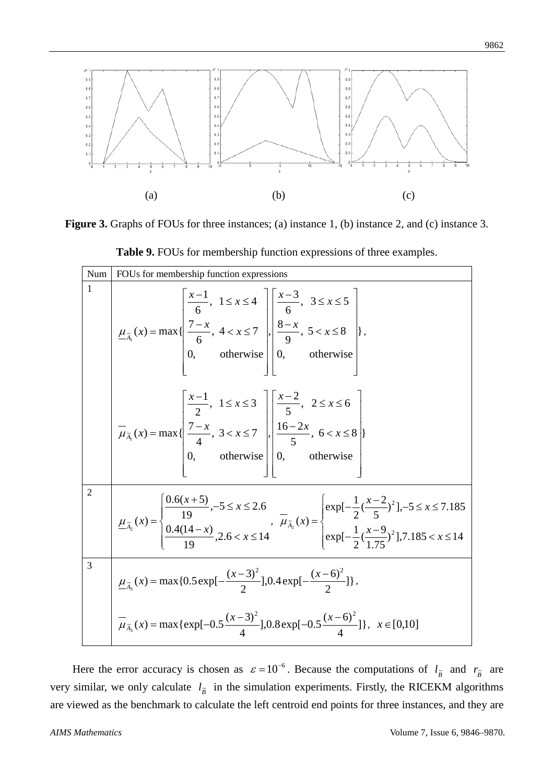

**Figure 3.** Graphs of FOUs for three instances; (a) instance 1, (b) instance 2, and (c) instance 3.

| Num            | FOUs for membership function expressions                                                                                                                                                                                                                                                                                            |  |  |  |
|----------------|-------------------------------------------------------------------------------------------------------------------------------------------------------------------------------------------------------------------------------------------------------------------------------------------------------------------------------------|--|--|--|
| 1              | $\underline{\mu}_{\tilde{A}_1}(x) = \max\{\left \frac{\frac{x-1}{6}, 1 \leq x \leq 4}{\frac{7-x}{6}}, 4 < x \leq 7\right , \left \frac{\frac{x-3}{6}, 3 \leq x \leq 5}{\frac{8-x}{9}}, 5 < x \leq 8\right \},\}$ , otherwise 0, otherwise 0, otherwise                                                                              |  |  |  |
|                | $\overline{\mu}_{\overline{A}_1}(x) = \max\{\left \frac{\frac{x-1}{2}, 1 \leq x \leq 3}{\frac{7-x}{4}, 3 < x \leq 7}, \frac{\pi}{2} \leq x \leq 6\}\right $<br>0, otherwise 0, otherwise 0, otherwise                                                                                                                               |  |  |  |
| $\overline{2}$ | $\underline{\mu}_{\tilde{A}_2}(x) = \begin{cases} \frac{0.6(x+5)}{19}, -5 \le x \le 2.6 \\ \frac{0.4(14-x)}{19}, 2.6 < x \le 14 \end{cases}, \quad \overline{\mu}_{\tilde{A}_2}(x) = \begin{cases} \exp[-\frac{1}{2}(\frac{x-2}{5})^2], -5 \le x \le 7.185 \\ \exp[-\frac{1}{2}(\frac{x-9}{1.75})^2], 7.185 < x \le 14 \end{cases}$ |  |  |  |
| 3              | $\underline{\mu}_{\tilde{A}_3}(x) = \max\{0.5 \exp[-\frac{(x-3)^2}{2}], 0.4 \exp[-\frac{(x-6)^2}{2}]\},\$                                                                                                                                                                                                                           |  |  |  |
|                | $\mu_{\tilde{A}_3}(x) = \max\{\exp[-0.5\frac{(x-3)^2}{4}], 0.8\exp[-0.5\frac{(x-6)^2}{4}]\}, x \in [0,10]\}$                                                                                                                                                                                                                        |  |  |  |

**Table 9.** FOUs for membership function expressions of three examples.

Here the error accuracy is chosen as  $\varepsilon = 10^{-6}$ . Because the computations of  $l_{\tilde{B}}$  and  $r_{\tilde{B}}$  are very similar, we only calculate  $l_{\tilde{B}}$  in the simulation experiments. Firstly, the RICEKM algorithms are viewed as the benchmark to calculate the left centroid end points for three instances, and they are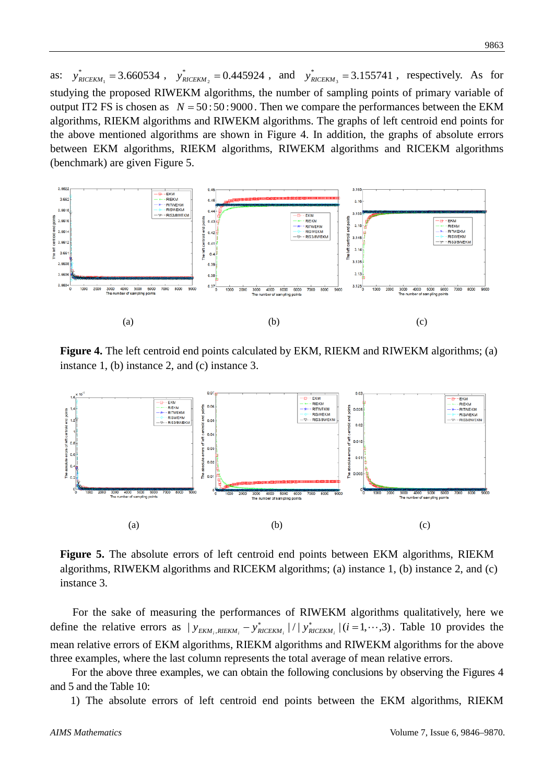as:  $y_{RICEKM_1}^* = 3.660534$ ,  $y_{RICEKM_2}^* = 0.445924$ , and  $y_{RICEKM_3}^* = 3.155741$ , respectively. As for studying the proposed RIWEKM algorithms, the number of sampling points of primary variable of output IT2 FS is chosen as  $N = 50:50:9000$ . Then we compare the performances between the EKM algorithms, RIEKM algorithms and RIWEKM algorithms. The graphs of left centroid end points for the above mentioned algorithms are shown in Figure 4. In addition, the graphs of absolute errors between EKM algorithms, RIEKM algorithms, RIWEKM algorithms and RICEKM algorithms (benchmark) are given Figure 5.



Figure 4. The left centroid end points calculated by EKM, RIEKM and RIWEKM algorithms; (a) instance 1, (b) instance 2, and (c) instance 3.



**Figure 5.** The absolute errors of left centroid end points between EKM algorithms, RIEKM algorithms, RIWEKM algorithms and RICEKM algorithms; (a) instance 1, (b) instance 2, and (c) instance 3.

For the sake of measuring the performances of RIWEKM algorithms qualitatively, here we define the relative errors as  $|y_{EKM_i,RIEKM_i} - y_{RICEKM_i}^*|/|y_{RICEKM_i}^*|(i=1,\dots,3)$ . Table 10 provides the mean relative errors of EKM algorithms, RIEKM algorithms and RIWEKM algorithms for the above three examples, where the last column represents the total average of mean relative errors.

For the above three examples, we can obtain the following conclusions by observing the Figures 4 and 5 and the Table 10:

1) The absolute errors of left centroid end points between the EKM algorithms, RIEKM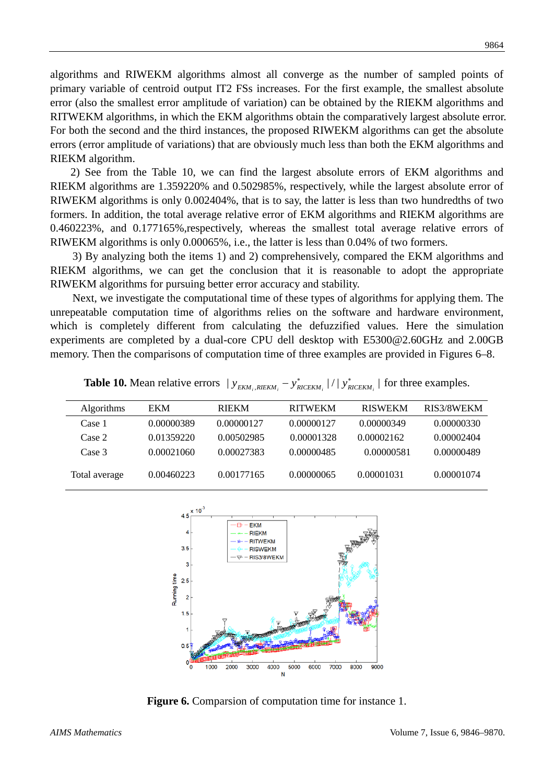algorithms and RIWEKM algorithms almost all converge as the number of sampled points of primary variable of centroid output IT2 FSs increases. For the first example, the smallest absolute error (also the smallest error amplitude of variation) can be obtained by the RIEKM algorithms and RITWEKM algorithms, in which the EKM algorithms obtain the comparatively largest absolute error. For both the second and the third instances, the proposed RIWEKM algorithms can get the absolute errors (error amplitude of variations) that are obviously much less than both the EKM algorithms and RIEKM algorithm.

2) See from the Table 10, we can find the largest absolute errors of EKM algorithms and RIEKM algorithms are 1.359220% and 0.502985%, respectively, while the largest absolute error of RIWEKM algorithms is only 0.002404%, that is to say, the latter is less than two hundredths of two formers. In addition, the total average relative error of EKM algorithms and RIEKM algorithms are 0.460223%, and 0.177165%,respectively, whereas the smallest total average relative errors of RIWEKM algorithms is only 0.00065%, i.e., the latter is less than 0.04% of two formers.

3) By analyzing both the items 1) and 2) comprehensively, compared the EKM algorithms and RIEKM algorithms, we can get the conclusion that it is reasonable to adopt the appropriate RIWEKM algorithms for pursuing better error accuracy and stability.

Next, we investigate the computational time of these types of algorithms for applying them. The unrepeatable computation time of algorithms relies on the software and hardware environment, which is completely different from calculating the defuzzified values. Here the simulation experiments are completed by a dual-core CPU dell desktop with E5300@2.60GHz and 2.00GB memory. Then the comparisons of computation time of three examples are provided in Figures 6–8.

|  | <b>Table 10.</b> Mean relative errors $ y_{EKM_i,RIEKM_i} - y_{RICEKM_i}^* / y_{RICEKM_i}^* $ for three examples. |  |
|--|-------------------------------------------------------------------------------------------------------------------|--|
|--|-------------------------------------------------------------------------------------------------------------------|--|

| Algorithms    | EKM        | <b>RIEKM</b> | <b>RITWEKM</b> | <b>RISWEKM</b> | RIS3/8WEKM |
|---------------|------------|--------------|----------------|----------------|------------|
| Case 1        | 0.00000389 | 0.00000127   | 0.00000127     | 0.00000349     | 0.00000330 |
| Case 2        | 0.01359220 | 0.00502985   | 0.00001328     | 0.00002162     | 0.00002404 |
| Case 3        | 0.00021060 | 0.00027383   | 0.00000485     | 0.00000581     | 0.00000489 |
| Total average | 0.00460223 | 0.00177165   | 0.00000065     | 0.00001031     | 0.00001074 |



**Figure 6.** Comparsion of computation time for instance 1.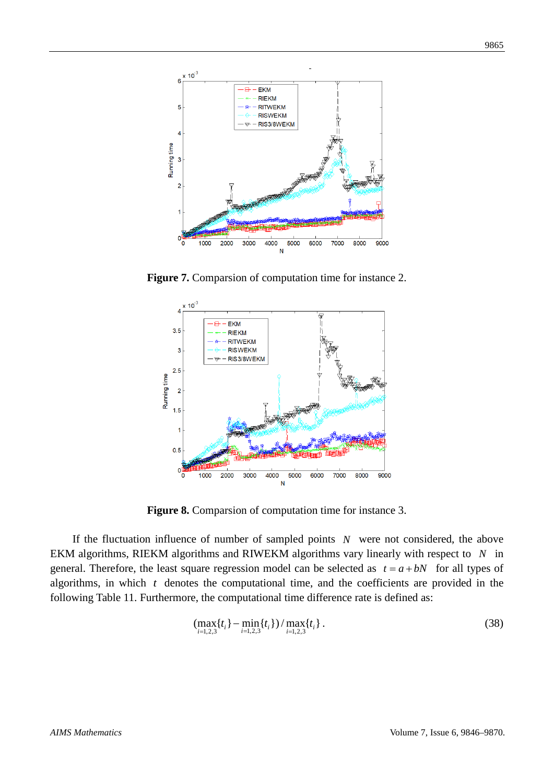

**Figure 7.** Comparsion of computation time for instance 2.



**Figure 8.** Comparsion of computation time for instance 3.

If the fluctuation influence of number of sampled points *N* were not considered, the above EKM algorithms, RIEKM algorithms and RIWEKM algorithms vary linearly with respect to *N* in general. Therefore, the least square regression model can be selected as  $t = a + bN$  for all types of algorithms, in which *t* denotes the computational time, and the coefficients are provided in the following Table 11. Furthermore, the computational time difference rate is defined as:

$$
\left(\max_{i=1,2,3} \{t_i\} - \min_{i=1,2,3} \{t_i\}\right) / \max_{i=1,2,3} \{t_i\} \,.
$$
\n(38)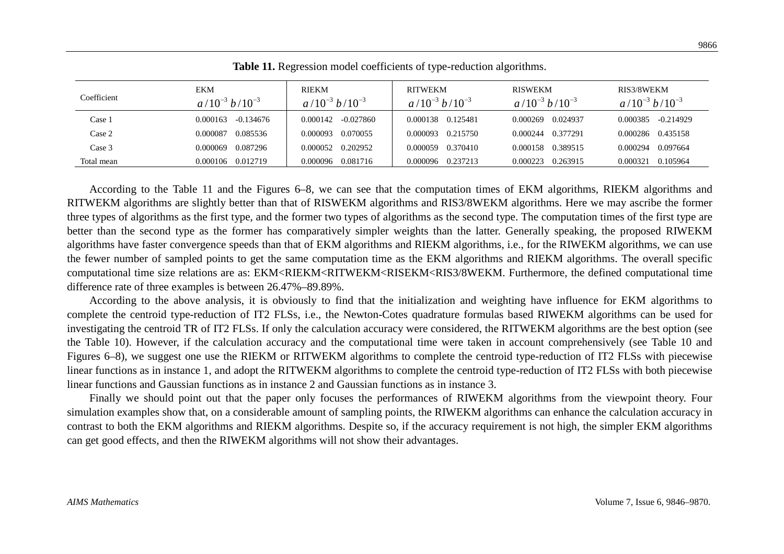|             |                              |                                | <u>JI</u>                               |                                         |                                     |
|-------------|------------------------------|--------------------------------|-----------------------------------------|-----------------------------------------|-------------------------------------|
| Coefficient | EKM<br>$a/10^{-3} b/10^{-3}$ | RIEKM<br>$a/10^{-3} b/10^{-3}$ | <b>RITWEKM</b><br>$a/10^{-3} b/10^{-3}$ | <b>RISWEKM</b><br>$a/10^{-3} b/10^{-3}$ | RIS3/8WEKM<br>$a/10^{-3} b/10^{-3}$ |
| Case 1      | -0.134676<br>0.000163        | -0.027860<br>0.000142          | 0.125481<br>0.000138                    | 0.024937<br>0.000269                    | $-0.214929$<br>0.000385             |
| Case 2      | 0.085536<br>0.000087         | 0.070055<br>0.000093           | 0.215750<br>0.000093                    | 0.377291<br>0.000244                    | 0.000286 0.435158                   |
| Case 3      | 0.087296<br>0.000069         | 0.000052 0.202952              | 0.370410<br>0.000059                    | 0.389515<br>0.000158                    | 0.097664<br>0.000294                |
| Total mean  | 0.000106 0.012719            | 0.081716<br>0.000096           | 0.237213<br>0.000096                    | 0.263915<br>0.000223                    | 0.105964<br>0.000321                |

**Table 11.** Regression model coefficients of type-reduction algorithms.

According to the Table 11 and the Figures 6–8, we can see that the computation times of EKM algorithms, RIEKM algorithms and RITWEKM algorithms are slightly better than that of RISWEKM algorithms and RIS3/8WEKM algorithms. Here we may ascribe the former three types of algorithms as the first type, and the former two types of algorithms as the second type. The computation times of the first type are better than the second type as the former has comparatively simpler weights than the latter. Generally speaking, the proposed RIWEKM algorithms have faster convergence speeds than that of EKM algorithms and RIEKM algorithms, i.e., for the RIWEKM algorithms, we can use the fewer number of sampled points to get the same computation time as the EKM algorithms and RIEKM algorithms. The overall specific computational time size relations are as: EKM<RIEKM<RITWEKM<RISEKM<RIS3/8WEKM. Furthermore, the defined computational time difference rate of three examples is between 26.47%–89.89%.

According to the above analysis, it is obviously to find that the initialization and weighting have influence for EKM algorithms to complete the centroid type-reduction of IT2 FLSs, i.e., the Newton-Cotes quadrature formulas based RIWEKM algorithms can be used for investigating the centroid TR of IT2 FLSs. If only the calculation accuracy were considered, the RITWEKM algorithms are the best option (see the Table 10). However, if the calculation accuracy and the computational time were taken in account comprehensively (see Table 10 and Figures 6–8), we suggest one use the RIEKM or RITWEKM algorithms to complete the centroid type-reduction of IT2 FLSs with piecewise linear functions as in instance 1, and adopt the RITWEKM algorithms to complete the centroid type-reduction of IT2 FLSs with both piecewise linear functions and Gaussian functions as in instance 2 and Gaussian functions as in instance 3.

Finally we should point out that the paper only focuses the performances of RIWEKM algorithms from the viewpoint theory. Four simulation examples show that, on a considerable amount of sampling points, the RIWEKM algorithms can enhance the calculation accuracy in contrast to both the EKM algorithms and RIEKM algorithms. Despite so, if the accuracy requirement is not high, the simpler EKM algorithms can get good effects, and then the RIWEKM algorithms will not show their advantages.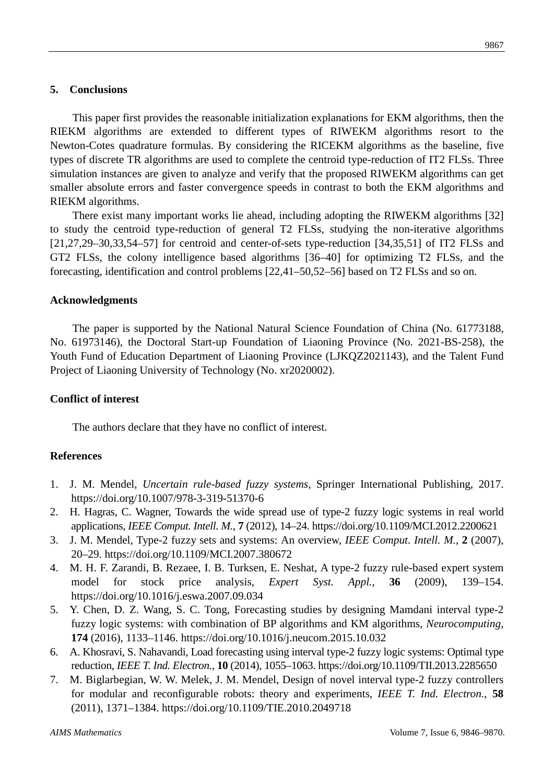# **5. Conclusions**

This paper first provides the reasonable initialization explanations for EKM algorithms, then the RIEKM algorithms are extended to different types of RIWEKM algorithms resort to the Newton-Cotes quadrature formulas. By considering the RICEKM algorithms as the baseline, five types of discrete TR algorithms are used to complete the centroid type-reduction of IT2 FLSs. Three simulation instances are given to analyze and verify that the proposed RIWEKM algorithms can get smaller absolute errors and faster convergence speeds in contrast to both the EKM algorithms and RIEKM algorithms.

There exist many important works lie ahead, including adopting the RIWEKM algorithms [32] to study the centroid type-reduction of general T2 FLSs, studying the non-iterative algorithms  $[21,27,29-30,33,54-57]$  for centroid and center-of-sets type-reduction  $[34,35,51]$  of IT2 FLSs and GT2 FLSs, the colony intelligence based algorithms [36–40] for optimizing T2 FLSs, and the forecasting, identification and control problems [22,41–50,52–56] based on T2 FLSs and so on.

### **Acknowledgments**

The paper is supported by the National Natural Science Foundation of China (No. 61773188, No. 61973146), the Doctoral Start-up Foundation of Liaoning Province (No. 2021-BS-258), the Youth Fund of Education Department of Liaoning Province (LJKQZ2021143), and the Talent Fund Project of Liaoning University of Technology (No. xr2020002).

# **Conflict of interest**

The authors declare that they have no conflict of interest.

### **References**

- 1. J. M. Mendel, *Uncertain rule-based fuzzy systems*, Springer International Publishing, 2017. <https://doi.org/10.1007/978-3-319-51370-6>
- 2. H. Hagras, C. Wagner, Towards the wide spread use of type-2 fuzzy logic systems in real world applications, *IEEE Comput. Intell. M.*, **7** (2012), 14–24. <https://doi.org/10.1109/MCI.2012.2200621>
- 3. J. M. Mendel, Type-2 fuzzy sets and systems: An overview, *IEEE Comput. Intell. M.*, **2** (2007), 20–29. <https://doi.org/10.1109/MCI.2007.380672>
- 4. M. H. F. Zarandi, B. Rezaee, I. B. Turksen, E. Neshat, A type-2 fuzzy rule-based expert system model for stock price analysis, *Expert Syst. Appl.*, **36** (2009), 139–154. <https://doi.org/10.1016/j.eswa.2007.09.034>
- 5. Y. Chen, D. Z. Wang, S. C. Tong, Forecasting studies by designing Mamdani interval type-2 fuzzy logic systems: with combination of BP algorithms and KM algorithms, *Neurocomputing*, **174** (2016), 1133–1146. <https://doi.org/10.1016/j.neucom.2015.10.032>
- 6. A. Khosravi, S. Nahavandi, Load forecasting using interval type-2 fuzzy logic systems: Optimal type reduction, *IEEE T. Ind. Electron.*, **10** (2014), 1055–1063. <https://doi.org/10.1109/TII.2013.2285650>
- 7. M. Biglarbegian, W. W. Melek, J. M. Mendel, Design of novel interval type-2 fuzzy controllers for modular and reconfigurable robots: theory and experiments, *IEEE T. Ind. Electron.*, **58** (2011), 1371–1384. <https://doi.org/10.1109/TIE.2010.2049718>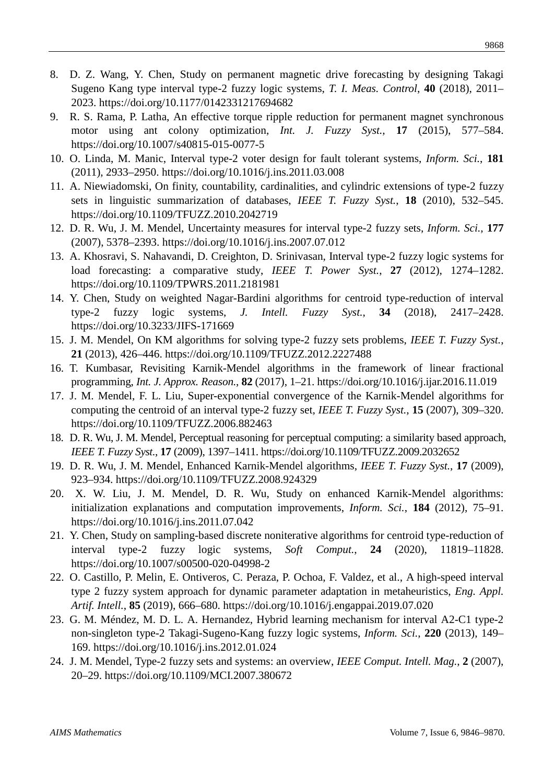- 8. D. Z. Wang, Y. Chen, Study on permanent magnetic drive forecasting by designing Takagi Sugeno Kang type interval type-2 fuzzy logic systems, *T. I. Meas. Control*, **40** (2018), 2011– 2023. <https://doi.org/10.1177/0142331217694682>
- 9. R. S. Rama, P. Latha, An effective torque ripple reduction for permanent magnet synchronous motor using ant colony optimization, *Int. J. Fuzzy Syst.*, **17** (2015), 577–584. <https://doi.org/10.1007/s40815-015-0077-5>
- 10. O. Linda, M. Manic, Interval type-2 voter design for fault tolerant systems, *Inform. Sci.*, **181** (2011), 2933–2950. <https://doi.org/10.1016/j.ins.2011.03.008>
- 11. A. Niewiadomski, On finity, countability, cardinalities, and cylindric extensions of type-2 fuzzy sets in linguistic summarization of databases, *IEEE T. Fuzzy Syst.*, **18** (2010), 532–545. <https://doi.org/10.1109/TFUZZ.2010.2042719>
- 12. D. R. Wu, J. M. Mendel, Uncertainty measures for interval type-2 fuzzy sets, *Inform. Sci.*, **177** (2007), 5378–2393. <https://doi.org/10.1016/j.ins.2007.07.012>
- 13. A. Khosravi, S. Nahavandi, D. Creighton, D. Srinivasan, Interval type-2 fuzzy logic systems for load forecasting: a comparative study, *IEEE T. Power Syst.*, **27** (2012), 1274–1282. <https://doi.org/10.1109/TPWRS.2011.2181981>
- 14. Y. Chen, Study on weighted Nagar-Bardini algorithms for centroid type-reduction of interval type-2 fuzzy logic systems, *J. Intell. Fuzzy Syst.*, **34** (2018), 2417–2428. <https://doi.org/10.3233/JIFS-171669>
- 15. J. M. Mendel, On KM algorithms for solving type-2 fuzzy sets problems, *IEEE T. Fuzzy Syst.*, **21** (2013), 426–446. <https://doi.org/10.1109/TFUZZ.2012.2227488>
- 16. T. Kumbasar, Revisiting Karnik-Mendel algorithms in the framework of linear fractional programming, *Int. J. Approx. Reason.*, **82** (2017), 1–21.<https://doi.org/10.1016/j.ijar.2016.11.019>
- 17. J. M. Mendel, F. L. Liu, Super-exponential convergence of the Karnik-Mendel algorithms for computing the centroid of an interval type-2 fuzzy set, *IEEE T. Fuzzy Syst.*, **15** (2007), 309–320. <https://doi.org/10.1109/TFUZZ.2006.882463>
- 18. D. R. Wu, J. M. Mendel, Perceptual reasoning for perceptual computing: a similarity based approach, *IEEE T. Fuzzy Syst.*, **17** (2009), 1397–1411.<https://doi.org/10.1109/TFUZZ.2009.2032652>
- 19. D. R. Wu, J. M. Mendel, Enhanced Karnik-Mendel algorithms, *IEEE T. Fuzzy Syst.*, **17** (2009), 923–934.<https://doi.org/10.1109/TFUZZ.2008.924329>
- 20. X. W. Liu, J. M. Mendel, D. R. Wu, Study on enhanced Karnik-Mendel algorithms: initialization explanations and computation improvements, *Inform. Sci.*, **184** (2012), 75–91. <https://doi.org/10.1016/j.ins.2011.07.042>
- 21. Y. Chen, Study on sampling-based discrete noniterative algorithms for centroid type-reduction of interval type-2 fuzzy logic systems, *Soft Comput.*, **24** (2020), 11819–11828. <https://doi.org/10.1007/s00500-020-04998-2>
- 22. O. Castillo, P. Melin, E. Ontiveros, C. Peraza, P. Ochoa, F. Valdez, et al., A high-speed interval type 2 fuzzy system approach for dynamic parameter adaptation in metaheuristics, *Eng. Appl. Artif. Intell.*, **85** (2019), 666–680.<https://doi.org/10.1016/j.engappai.2019.07.020>
- 23. G. M. Méndez, M. D. L. A. Hernandez, Hybrid learning mechanism for interval A2-C1 type-2 non-singleton type-2 Takagi-Sugeno-Kang fuzzy logic systems, *Inform. Sci.*, **220** (2013), 149– 169.<https://doi.org/10.1016/j.ins.2012.01.024>
- 24. J. M. Mendel, Type-2 fuzzy sets and systems: an overview, *IEEE Comput. Intell. Mag.*, **2** (2007), 20–29. <https://doi.org/10.1109/MCI.2007.380672>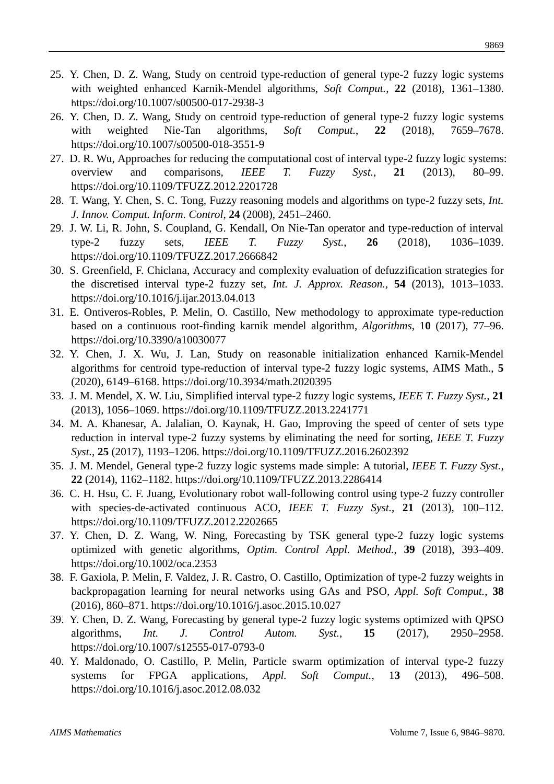- 25. Y. Chen, D. Z. Wang, Study on centroid type-reduction of general type-2 fuzzy logic systems with weighted enhanced Karnik-Mendel algorithms, *Soft Comput.*, **22** (2018), 1361–1380. h[ttps://doi.org/10.1007/s00500-017-2938-3](https://doi.org/10.1007/s00500-017-2938-3)
- 26. Y. Chen, D. Z. Wang, Study on centroid type-reduction of general type-2 fuzzy logic systems with weighted Nie-Tan algorithms, Soft Comput., 22 (2018), 7659–7678. <https://doi.org/10.1007/s00500-018-3551-9>
- 27. D. R. Wu, Approaches for reducing the computational cost of interval type-2 fuzzy logic systems: overview and comparisons, *IEEE T. Fuzzy Syst.*, **21** (2013), 80–99. <https://doi.org/10.1109/TFUZZ.2012.2201728>
- 28. T. Wang, Y. Chen, S. C. Tong, Fuzzy reasoning models and algorithms on type-2 fuzzy sets, *Int. J. Innov. Comput. Inform. Control*, **24** (2008), 2451–2460.
- 29. J. W. Li, R. John, S. Coupland, G. Kendall, On Nie-Tan operator and type-reduction of interval type-2 fuzzy sets, *IEEE T. Fuzzy Syst.*, **26** (2018), 1036–1039. <https://doi.org/10.1109/TFUZZ.2017.2666842>
- 30. S. Greenfield, F. Chiclana, Accuracy and complexity evaluation of defuzzification strategies for the discretised interval type-2 fuzzy set, *Int. J. Approx. Reason.*, **54** (2013), 1013–1033. <https://doi.org/10.1016/j.ijar.2013.04.013>
- 31. E. Ontiveros-Robles, P. Melin, O. Castillo, New methodology to approximate type-reduction based on a continuous root-finding karnik mendel algorithm, *Algorithms*, 1**0** (2017), 77–96. <https://doi.org/10.3390/a10030077>
- 32. Y. Chen, J. X. Wu, J. Lan, Study on reasonable initialization enhanced Karnik-Mendel algorithms for centroid type-reduction of interval type-2 fuzzy logic systems, AIMS Math., **5**  (2020), 6149–6168. <https://doi.org/10.3934/math.2020395>
- 33. J. M. Mendel, X. W. Liu, Simplified interval type-2 fuzzy logic systems, *IEEE T. Fuzzy Syst.*, **21**  (2013), 1056–1069. <https://doi.org/10.1109/TFUZZ.2013.2241771>
- 34. M. A. Khanesar, A. Jalalian, O. Kaynak, H. Gao, Improving the speed of center of sets type reduction in interval type-2 fuzzy systems by eliminating the need for sorting, *IEEE T. Fuzzy Syst.*, **25** (2017), 1193–1206.<https://doi.org/10.1109/TFUZZ.2016.2602392>
- 35. J. M. Mendel, General type-2 fuzzy logic systems made simple: A tutorial, *IEEE T. Fuzzy Syst.*, **22** (2014), 1162–1182. <https://doi.org/10.1109/TFUZZ.2013.2286414>
- 36. C. H. Hsu, C. F. Juang, Evolutionary robot wall-following control using type-2 fuzzy controller with species-de-activated continuous ACO, *IEEE T. Fuzzy Syst.*, 21 (2013), 100–112. <https://doi.org/10.1109/TFUZZ.2012.2202665>
- 37. Y. Chen, D. Z. Wang, W. Ning, Forecasting by TSK general type-2 fuzzy logic systems optimized with genetic algorithms, *Optim. Control Appl. Method.*, **39** (2018), 393–409. <https://doi.org/10.1002/oca.2353>
- 38. F. Gaxiola, P. Melin, F. Valdez, J. R. Castro, O. Castillo, Optimization of type-2 fuzzy weights in backpropagation learning for neural networks using GAs and PSO, *Appl. Soft Comput.*, **38**  (2016), 860–871. <https://doi.org/10.1016/j.asoc.2015.10.027>
- 39. Y. Chen, D. Z. Wang, Forecasting by general type-2 fuzzy logic systems optimized with QPSO algorithms, *Int. J. Control Autom. Syst.*, **15** (2017), 2950–2958. <https://doi.org/10.1007/s12555-017-0793-0>
- 40. Y. Maldonado, O. Castillo, P. Melin, Particle swarm optimization of interval type-2 fuzzy systems for FPGA applications, *Appl. Soft Comput.*, 1**3** (2013), 496–508. <https://doi.org/10.1016/j.asoc.2012.08.032>